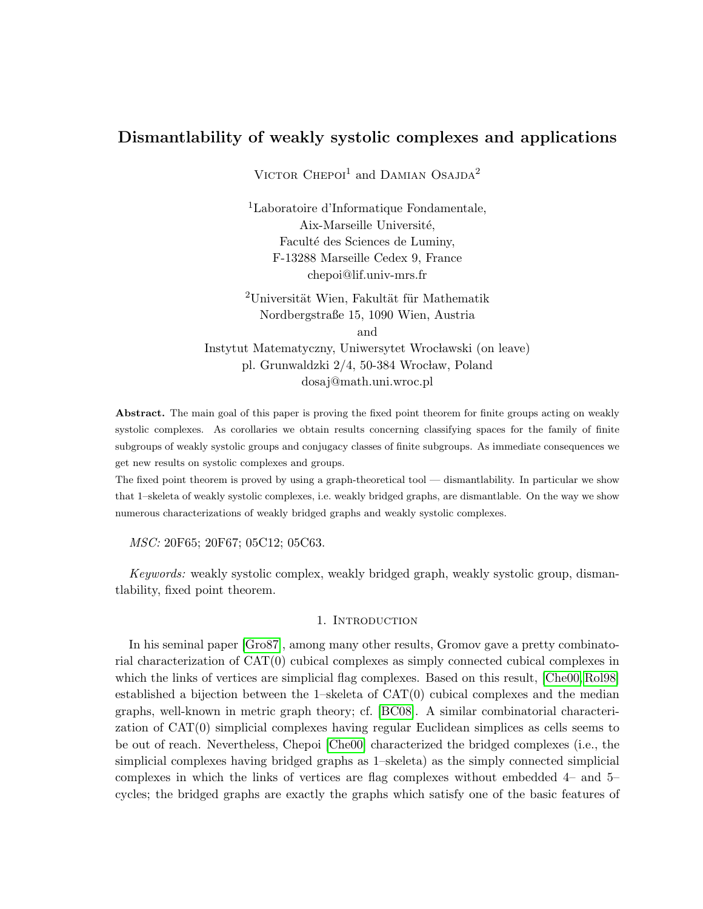# Dismantlability of weakly systolic complexes and applications

 $\rm V_{\rm ICTOR}$   $\rm C_{\rm HEPOI}^1$  and DAMIAN  $\rm OSAJDA^2$ 

<sup>1</sup>Laboratoire d'Informatique Fondamentale, Aix-Marseille Université, Faculté des Sciences de Luminy, F-13288 Marseille Cedex 9, France chepoi@lif.univ-mrs.fr

 $2$ Universität Wien, Fakultät für Mathematik Nordbergstraße 15, 1090 Wien, Austria and Instytut Matematyczny, Uniwersytet Wrocławski (on leave) pl. Grunwaldzki 2/4, 50-384 Wrocław, Poland dosaj@math.uni.wroc.pl

Abstract. The main goal of this paper is proving the fixed point theorem for finite groups acting on weakly systolic complexes. As corollaries we obtain results concerning classifying spaces for the family of finite subgroups of weakly systolic groups and conjugacy classes of finite subgroups. As immediate consequences we get new results on systolic complexes and groups.

The fixed point theorem is proved by using a graph-theoretical tool — dismantlability. In particular we show that 1–skeleta of weakly systolic complexes, i.e. weakly bridged graphs, are dismantlable. On the way we show numerous characterizations of weakly bridged graphs and weakly systolic complexes.

MSC: 20F65; 20F67; 05C12; 05C63.

Keywords: weakly systolic complex, weakly bridged graph, weakly systolic group, dismantlability, fixed point theorem.

### 1. INTRODUCTION

In his seminal paper [\[Gro87\]](#page-26-0), among many other results, Gromov gave a pretty combinatorial characterization of CAT(0) cubical complexes as simply connected cubical complexes in which the links of vertices are simplicial flag complexes. Based on this result, [\[Che00,](#page-26-1) [Rol98\]](#page-27-0) established a bijection between the 1–skeleta of  $CAT(0)$  cubical complexes and the median graphs, well-known in metric graph theory; cf. [\[BC08\]](#page-26-2). A similar combinatorial characterization of CAT(0) simplicial complexes having regular Euclidean simplices as cells seems to be out of reach. Nevertheless, Chepoi [\[Che00\]](#page-26-1) characterized the bridged complexes (i.e., the simplicial complexes having bridged graphs as 1–skeleta) as the simply connected simplicial complexes in which the links of vertices are flag complexes without embedded 4– and 5– cycles; the bridged graphs are exactly the graphs which satisfy one of the basic features of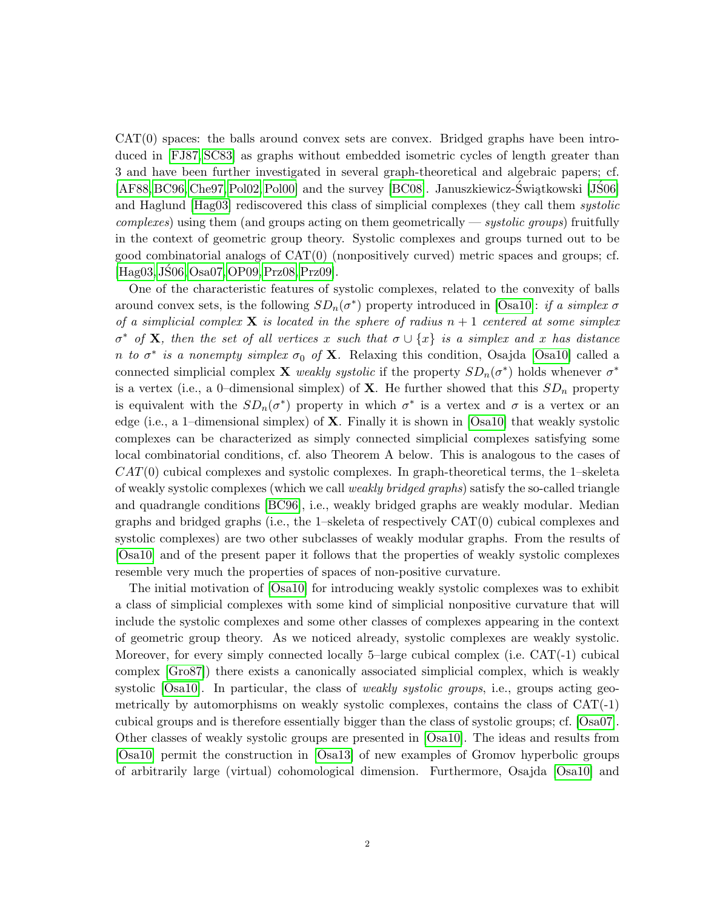$CAT(0)$  spaces: the balls around convex sets are convex. Bridged graphs have been introduced in [\[FJ87,](#page-26-3) [SC83\]](#page-27-1) as graphs without embedded isometric cycles of length greater than 3 and have been further investigated in several graph-theoretical and algebraic papers; cf. [\[AF88,](#page-26-4) [BC96,](#page-26-5) [Che97,](#page-26-6) [Pol02,](#page-27-2) [Pol00\]](#page-27-3) and the survey [\[BC08\]](#page-26-2). Januszkiewicz-Świątkowski [JŚ06] and Haglund [\[Hag03\]](#page-26-7) rediscovered this class of simplicial complexes (they call them *systolic*  $complexes$ ) using them (and groups acting on them geometrically — systolic groups) fruitfully in the context of geometric group theory. Systolic complexes and groups turned out to be good combinatorial analogs of CAT(0) (nonpositively curved) metric spaces and groups; cf. [\[Hag03,](#page-26-7) [JS06,](#page-27-4) [Osa07,](#page-27-5) [OP09,](#page-27-6) [Prz08,](#page-27-7) [Prz09\]](#page-27-8).

One of the characteristic features of systolic complexes, related to the convexity of balls around convex sets, is the following  $SD_n(\sigma^*)$  property introduced in [\[Osa10\]](#page-27-9): if a simplex  $\sigma$ of a simplicial complex **X** is located in the sphere of radius  $n + 1$  centered at some simplex  $\sigma^*$  of **X**, then the set of all vertices x such that  $\sigma \cup \{x\}$  is a simplex and x has distance n to  $\sigma^*$  is a nonempty simplex  $\sigma_0$  of **X**. Relaxing this condition, Osajda [\[Osa10\]](#page-27-9) called a connected simplicial complex **X** weakly systolic if the property  $SD_n(\sigma^*)$  holds whenever  $\sigma^*$ is a vertex (i.e., a 0–dimensional simplex) of **X**. He further showed that this  $SD_n$  property is equivalent with the  $SD_n(\sigma^*)$  property in which  $\sigma^*$  is a vertex and  $\sigma$  is a vertex or an edge (i.e., a 1–dimensional simplex) of X. Finally it is shown in [\[Osa10\]](#page-27-9) that weakly systolic complexes can be characterized as simply connected simplicial complexes satisfying some local combinatorial conditions, cf. also Theorem A below. This is analogous to the cases of  $CAT(0)$  cubical complexes and systolic complexes. In graph-theoretical terms, the 1–skeleta of weakly systolic complexes (which we call weakly bridged graphs) satisfy the so-called triangle and quadrangle conditions [\[BC96\]](#page-26-5), i.e., weakly bridged graphs are weakly modular. Median graphs and bridged graphs (i.e., the 1–skeleta of respectively CAT(0) cubical complexes and systolic complexes) are two other subclasses of weakly modular graphs. From the results of [\[Osa10\]](#page-27-9) and of the present paper it follows that the properties of weakly systolic complexes resemble very much the properties of spaces of non-positive curvature.

The initial motivation of [\[Osa10\]](#page-27-9) for introducing weakly systolic complexes was to exhibit a class of simplicial complexes with some kind of simplicial nonpositive curvature that will include the systolic complexes and some other classes of complexes appearing in the context of geometric group theory. As we noticed already, systolic complexes are weakly systolic. Moreover, for every simply connected locally 5–large cubical complex (i.e. CAT(-1) cubical complex [\[Gro87\]](#page-26-0)) there exists a canonically associated simplicial complex, which is weakly systolic  $[Osa10]$ . In particular, the class of *weakly systolic groups*, i.e., groups acting geometrically by automorphisms on weakly systolic complexes, contains the class of CAT(-1) cubical groups and is therefore essentially bigger than the class of systolic groups; cf. [\[Osa07\]](#page-27-5). Other classes of weakly systolic groups are presented in [\[Osa10\]](#page-27-9). The ideas and results from [\[Osa10\]](#page-27-9) permit the construction in [\[Osa13\]](#page-27-10) of new examples of Gromov hyperbolic groups of arbitrarily large (virtual) cohomological dimension. Furthermore, Osajda [\[Osa10\]](#page-27-9) and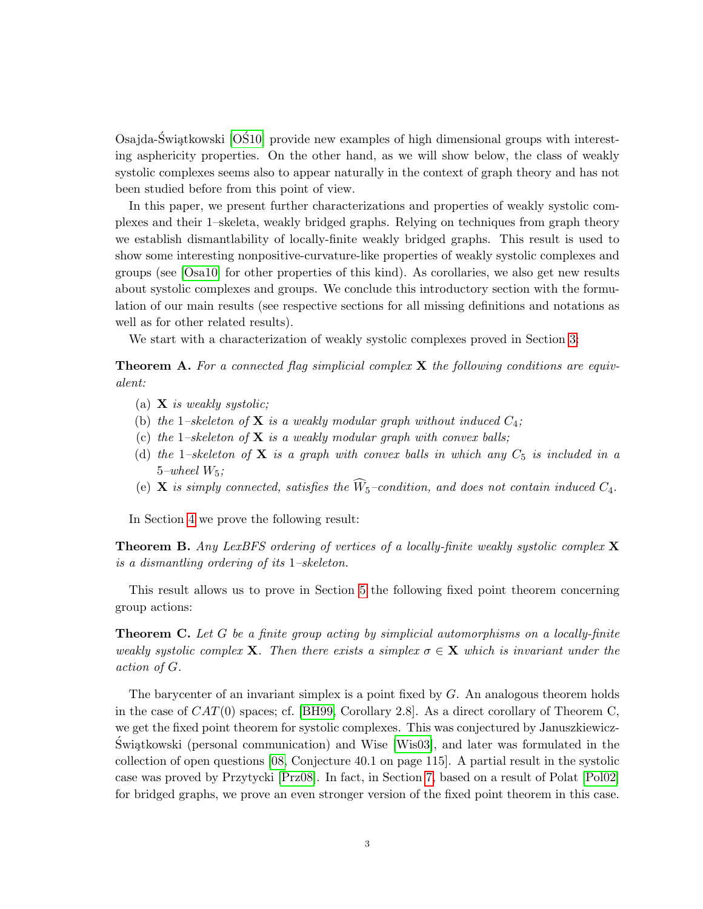Osajda-Świątkowski  $[O$10]$  provide new examples of high dimensional groups with interesting asphericity properties. On the other hand, as we will show below, the class of weakly systolic complexes seems also to appear naturally in the context of graph theory and has not been studied before from this point of view.

In this paper, we present further characterizations and properties of weakly systolic complexes and their 1–skeleta, weakly bridged graphs. Relying on techniques from graph theory we establish dismantlability of locally-finite weakly bridged graphs. This result is used to show some interesting nonpositive-curvature-like properties of weakly systolic complexes and groups (see [\[Osa10\]](#page-27-9) for other properties of this kind). As corollaries, we also get new results about systolic complexes and groups. We conclude this introductory section with the formulation of our main results (see respective sections for all missing definitions and notations as well as for other related results).

We start with a characterization of weakly systolic complexes proved in Section [3:](#page-7-0)

**Theorem A.** For a connected flag simplicial complex  $X$  the following conditions are equivalent:

- (a)  $X$  is weakly systolic;
- (b) the 1–skeleton of **X** is a weakly modular graph without induced  $C_4$ ;
- (c) the 1–skeleton of  $X$  is a weakly modular graph with convex balls;
- (d) the 1–skeleton of **X** is a graph with convex balls in which any  $C_5$  is included in a  $5$ –wheel  $W_5$ ;
- (e) **X** is simply connected, satisfies the  $\widehat{W}_5$ -condition, and does not contain induced  $C_4$ .

In Section [4](#page-14-0) we prove the following result:

**Theorem B.** Any LexBFS ordering of vertices of a locally-finite weakly systolic complex  $\bf{X}$ is a dismantling ordering of its 1–skeleton.

This result allows us to prove in Section [5](#page-18-0) the following fixed point theorem concerning group actions:

**Theorem C.** Let G be a finite group acting by simplicial automorphisms on a locally-finite weakly systolic complex **X**. Then there exists a simplex  $\sigma \in \mathbf{X}$  which is invariant under the action of G.

The barycenter of an invariant simplex is a point fixed by  $G$ . An analogous theorem holds in the case of  $CAT(0)$  spaces; cf. [\[BH99,](#page-26-8) Corollary 2.8]. As a direct corollary of Theorem C, we get the fixed point theorem for systolic complexes. This was conjectured by Januszkiewicz- $\hat{\mathbf{S}}$ wiątkowski (personal communication) and Wise [\[Wis03\]](#page-27-12), and later was formulated in the collection of open questions [\[08,](#page-26-9) Conjecture 40.1 on page 115]. A partial result in the systolic case was proved by Przytycki [\[Prz08\]](#page-27-7). In fact, in Section [7,](#page-23-0) based on a result of Polat [\[Pol02\]](#page-27-2) for bridged graphs, we prove an even stronger version of the fixed point theorem in this case.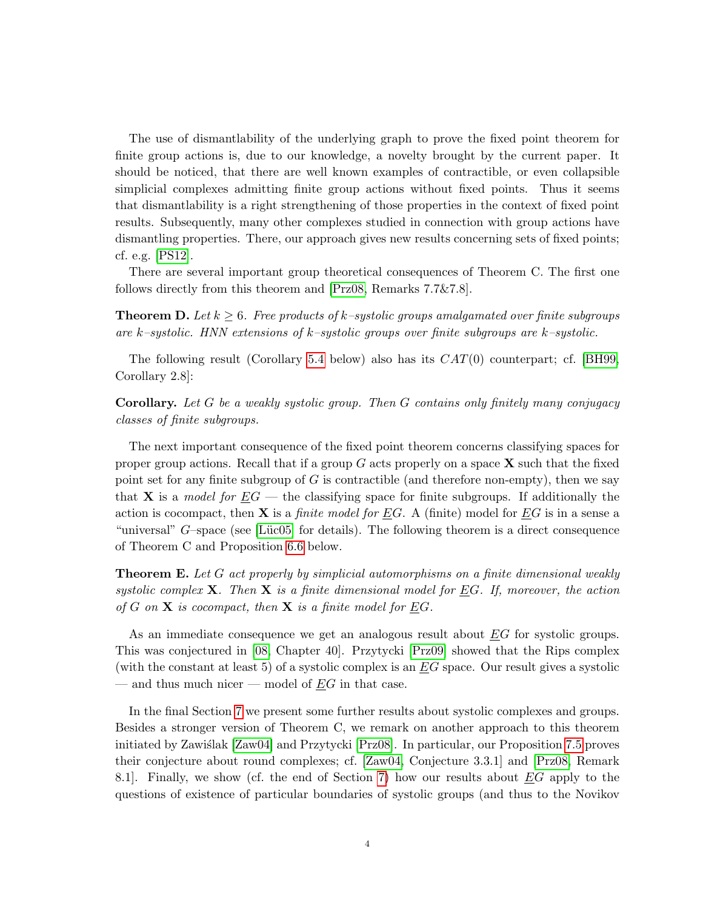The use of dismantlability of the underlying graph to prove the fixed point theorem for finite group actions is, due to our knowledge, a novelty brought by the current paper. It should be noticed, that there are well known examples of contractible, or even collapsible simplicial complexes admitting finite group actions without fixed points. Thus it seems that dismantlability is a right strengthening of those properties in the context of fixed point results. Subsequently, many other complexes studied in connection with group actions have dismantling properties. There, our approach gives new results concerning sets of fixed points; cf. e.g. [\[PS12\]](#page-27-13).

There are several important group theoretical consequences of Theorem C. The first one follows directly from this theorem and [\[Prz08,](#page-27-7) Remarks 7.7&7.8].

**Theorem D.** Let  $k \geq 6$ . Free products of k–systolic groups amalgamated over finite subgroups are k–systolic. HNN extensions of k–systolic groups over finite subgroups are k–systolic.

The following result (Corollary [5.4](#page-19-0) below) also has its  $CAT(0)$  counterpart; cf. [\[BH99,](#page-26-8) Corollary 2.8]:

Corollary. Let G be a weakly systolic group. Then G contains only finitely many conjugacy classes of finite subgroups.

The next important consequence of the fixed point theorem concerns classifying spaces for proper group actions. Recall that if a group  $G$  acts properly on a space  $X$  such that the fixed point set for any finite subgroup of  $G$  is contractible (and therefore non-empty), then we say that **X** is a model for  $\underline{E}G$  — the classifying space for finite subgroups. If additionally the action is cocompact, then  $X$  is a *finite model for EG*. A (finite) model for EG is in a sense a "universal"  $G$ –space (see [Lüc05] for details). The following theorem is a direct consequence of Theorem C and Proposition [6.6](#page-22-0) below.

**Theorem E.** Let G act properly by simplicial automorphisms on a finite dimensional weakly systolic complex **X**. Then **X** is a finite dimensional model for EG. If, moreover, the action of G on  $X$  is cocompact, then  $X$  is a finite model for  $\underline{E}G$ .

As an immediate consequence we get an analogous result about EG for systolic groups. This was conjectured in [\[08,](#page-26-9) Chapter 40]. Przytycki [\[Prz09\]](#page-27-8) showed that the Rips complex (with the constant at least 5) of a systolic complex is an  $EG$  space. Our result gives a systolic — and thus much nicer — model of  $EG$  in that case.

In the final Section [7](#page-23-0) we present some further results about systolic complexes and groups. Besides a stronger version of Theorem C, we remark on another approach to this theorem initiated by Zawiślak [\[Zaw04\]](#page-28-0) and Przytycki [\[Prz08\]](#page-27-7). In particular, our Proposition [7.5](#page-24-0) proves their conjecture about round complexes; cf. [\[Zaw04,](#page-28-0) Conjecture 3.3.1] and [\[Prz08,](#page-27-7) Remark 8.1]. Finally, we show (cf. the end of Section [7\)](#page-23-0) how our results about EG apply to the questions of existence of particular boundaries of systolic groups (and thus to the Novikov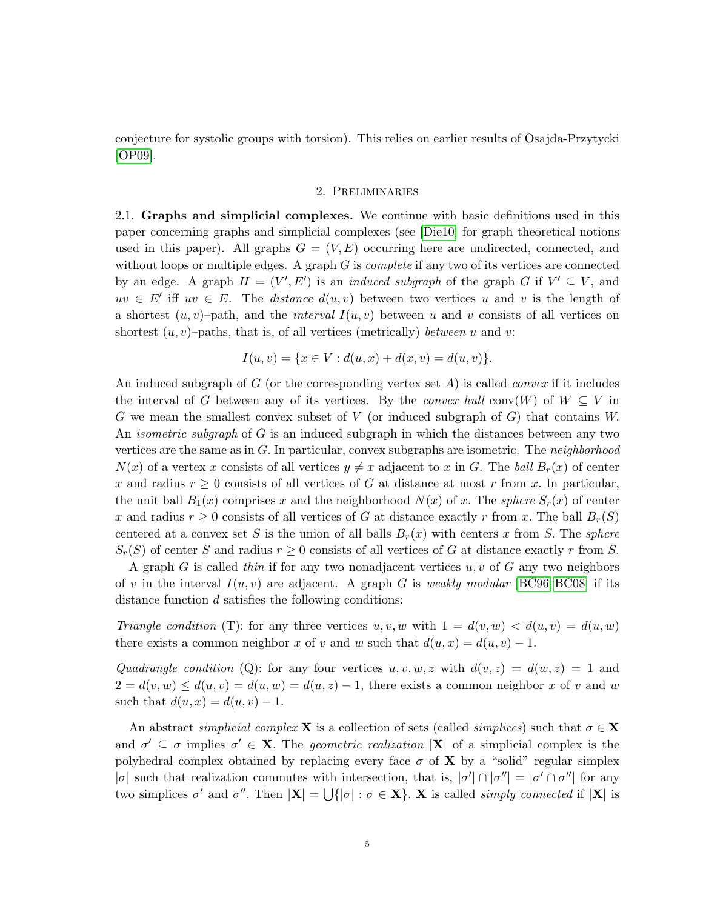conjecture for systolic groups with torsion). This relies on earlier results of Osajda-Przytycki [\[OP09\]](#page-27-6).

### 2. Preliminaries

2.1. Graphs and simplicial complexes. We continue with basic definitions used in this paper concerning graphs and simplicial complexes (see [\[Die10\]](#page-26-10) for graph theoretical notions used in this paper). All graphs  $G = (V, E)$  occurring here are undirected, connected, and without loops or multiple edges. A graph  $G$  is *complete* if any two of its vertices are connected by an edge. A graph  $H = (V', E')$  is an *induced subgraph* of the graph G if  $V' \subseteq V$ , and  $uv \in E'$  iff  $uv \in E$ . The *distance*  $d(u, v)$  between two vertices u and v is the length of a shortest  $(u, v)$ –path, and the *interval*  $I(u, v)$  between u and v consists of all vertices on shortest  $(u, v)$ –paths, that is, of all vertices (metrically) between u and v:

$$
I(u, v) = \{x \in V : d(u, x) + d(x, v) = d(u, v)\}.
$$

An induced subgraph of G (or the corresponding vertex set  $A$ ) is called *convex* if it includes the interval of G between any of its vertices. By the *convex hull* conv $(W)$  of  $W \subseteq V$  in  $G$  we mean the smallest convex subset of  $V$  (or induced subgraph of  $G$ ) that contains  $W$ . An *isometric subgraph* of  $G$  is an induced subgraph in which the distances between any two vertices are the same as in  $G$ . In particular, convex subgraphs are isometric. The *neighborhood*  $N(x)$  of a vertex x consists of all vertices  $y \neq x$  adjacent to x in G. The ball  $B_r(x)$  of center x and radius  $r \geq 0$  consists of all vertices of G at distance at most r from x. In particular, the unit ball  $B_1(x)$  comprises x and the neighborhood  $N(x)$  of x. The sphere  $S_r(x)$  of center x and radius  $r \geq 0$  consists of all vertices of G at distance exactly r from x. The ball  $B_r(S)$ centered at a convex set S is the union of all balls  $B_r(x)$  with centers x from S. The sphere  $S_r(S)$  of center S and radius  $r \geq 0$  consists of all vertices of G at distance exactly r from S.

A graph  $G$  is called thin if for any two nonadjacent vertices  $u, v$  of  $G$  any two neighbors of v in the interval  $I(u, v)$  are adjacent. A graph G is weakly modular [\[BC96,](#page-26-5) [BC08\]](#page-26-2) if its distance function d satisfies the following conditions:

Triangle condition (T): for any three vertices u, v, w with  $1 = d(v, w) < d(u, v) = d(u, w)$ there exists a common neighbor x of v and w such that  $d(u, x) = d(u, v) - 1$ .

Quadrangle condition (Q): for any four vertices  $u, v, w, z$  with  $d(v, z) = d(w, z) = 1$  and  $2 = d(v, w) \leq d(u, v) = d(u, w) = d(u, z) - 1$ , there exists a common neighbor x of v and w such that  $d(u, x) = d(u, v) - 1$ .

An abstract simplicial complex **X** is a collection of sets (called simplices) such that  $\sigma \in \mathbf{X}$ and  $\sigma' \subseteq \sigma$  implies  $\sigma' \in \mathbf{X}$ . The *geometric realization*  $|\mathbf{X}|$  of a simplicial complex is the polyhedral complex obtained by replacing every face  $\sigma$  of **X** by a "solid" regular simplex |σ| such that realization commutes with intersection, that is,  $|\sigma'| \cap |\sigma''| = |\sigma' \cap \sigma''|$  for any two simplices  $\sigma'$  and  $\sigma''$ . Then  $|\mathbf{X}| = \bigcup \{ |\sigma| : \sigma \in \mathbf{X} \}$ . X is called *simply connected* if  $|\mathbf{X}|$  is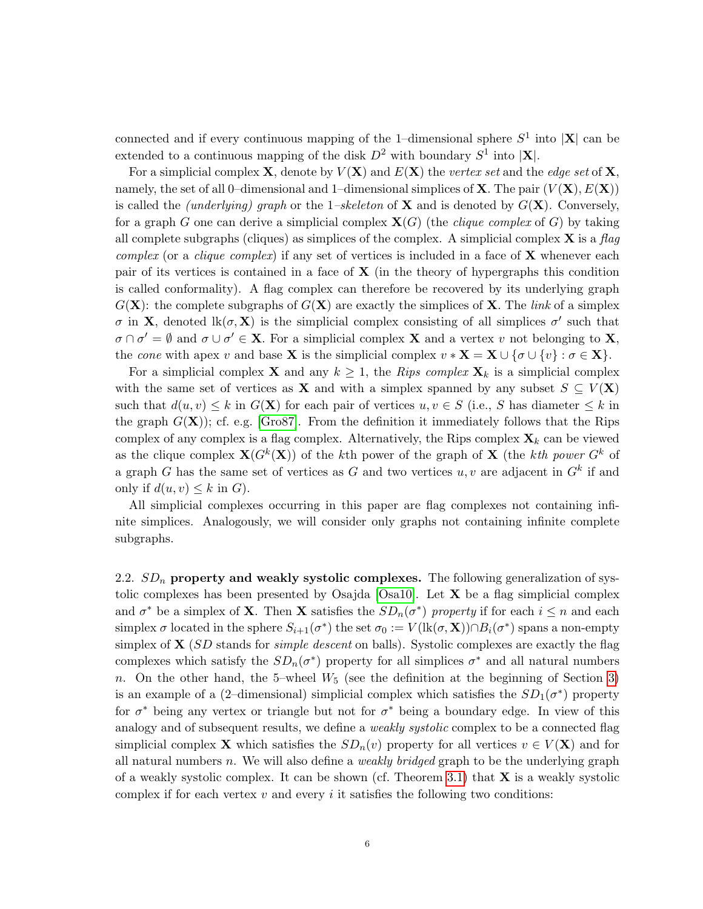connected and if every continuous mapping of the 1-dimensional sphere  $S^1$  into  $|\mathbf{X}|$  can be extended to a continuous mapping of the disk  $D^2$  with boundary  $S^1$  into  $|\mathbf{X}|$ .

For a simplicial complex **X**, denote by  $V(X)$  and  $E(X)$  the vertex set and the edge set of **X**. namely, the set of all 0–dimensional and 1–dimensional simplices of **X**. The pair  $(V(X), E(X))$ is called the *(underlying)* graph or the 1–skeleton of **X** and is denoted by  $G(\mathbf{X})$ . Conversely, for a graph G one can derive a simplicial complex  $\mathbf{X}(G)$  (the *clique complex* of G) by taking all complete subgraphs (cliques) as simplices of the complex. A simplicial complex  $\bf{X}$  is a flag complex (or a clique complex) if any set of vertices is included in a face of  $X$  whenever each pair of its vertices is contained in a face of  $X$  (in the theory of hypergraphs this condition is called conformality). A flag complex can therefore be recovered by its underlying graph  $G(\mathbf{X})$ : the complete subgraphs of  $G(\mathbf{X})$  are exactly the simplices of **X**. The link of a simplex σ in **X**, denoted  $\text{lk}(\sigma, \mathbf{X})$  is the simplicial complex consisting of all simplices  $\sigma'$  such that  $\sigma \cap \sigma' = \emptyset$  and  $\sigma \cup \sigma' \in \mathbf{X}$ . For a simplicial complex **X** and a vertex v not belonging to **X**, the cone with apex v and base **X** is the simplicial complex  $v * X = X \cup {\sigma \cup \{v\}} : \sigma \in X$ .

For a simplicial complex **X** and any  $k \geq 1$ , the Rips complex  $\mathbf{X}_k$  is a simplicial complex with the same set of vertices as **X** and with a simplex spanned by any subset  $S \subseteq V(\mathbf{X})$ such that  $d(u, v) \leq k$  in  $G(\mathbf{X})$  for each pair of vertices  $u, v \in S$  (i.e., S has diameter  $\leq k$  in the graph  $G(\mathbf{X})$ ; cf. e.g. [\[Gro87\]](#page-26-0). From the definition it immediately follows that the Rips complex of any complex is a flag complex. Alternatively, the Rips complex  $\mathbf{X}_k$  can be viewed as the clique complex  $\mathbf{X}(G^k(\mathbf{X}))$  of the kth power of the graph of  $\mathbf{X}$  (the kth power  $G^k$  of a graph G has the same set of vertices as G and two vertices  $u, v$  are adjacent in  $G<sup>k</sup>$  if and only if  $d(u, v) \leq k$  in G).

All simplicial complexes occurring in this paper are flag complexes not containing infinite simplices. Analogously, we will consider only graphs not containing infinite complete subgraphs.

2.2.  $SD_n$  property and weakly systolic complexes. The following generalization of sys-tolic complexes has been presented by Osajda [\[Osa10\]](#page-27-9). Let  $X$  be a flag simplicial complex and  $\sigma^*$  be a simplex of **X**. Then **X** satisfies the  $SD_n(\sigma^*)$  property if for each  $i \leq n$  and each simplex  $\sigma$  located in the sphere  $S_{i+1}(\sigma^*)$  the set  $\sigma_0 := V(\text{lk}(\sigma, \mathbf{X})) \cap B_i(\sigma^*)$  spans a non-empty simplex of  $X(SD)$  stands for *simple descent* on balls). Systolic complexes are exactly the flag complexes which satisfy the  $SD_n(\sigma^*)$  property for all simplices  $\sigma^*$  and all natural numbers n. On the other hand, the 5–wheel  $W_5$  (see the definition at the beginning of Section [3\)](#page-7-0) is an example of a (2-dimensional) simplicial complex which satisfies the  $SD_1(\sigma^*)$  property for  $\sigma^*$  being any vertex or triangle but not for  $\sigma^*$  being a boundary edge. In view of this analogy and of subsequent results, we define a *weakly systolic* complex to be a connected flag simplicial complex **X** which satisfies the  $SD_n(v)$  property for all vertices  $v \in V(\mathbf{X})$  and for all natural numbers n. We will also define a *weakly bridged* graph to be the underlying graph of a weakly systolic complex. It can be shown (cf. Theorem [3.1\)](#page-7-1) that  $X$  is a weakly systolic complex if for each vertex  $v$  and every  $i$  it satisfies the following two conditions: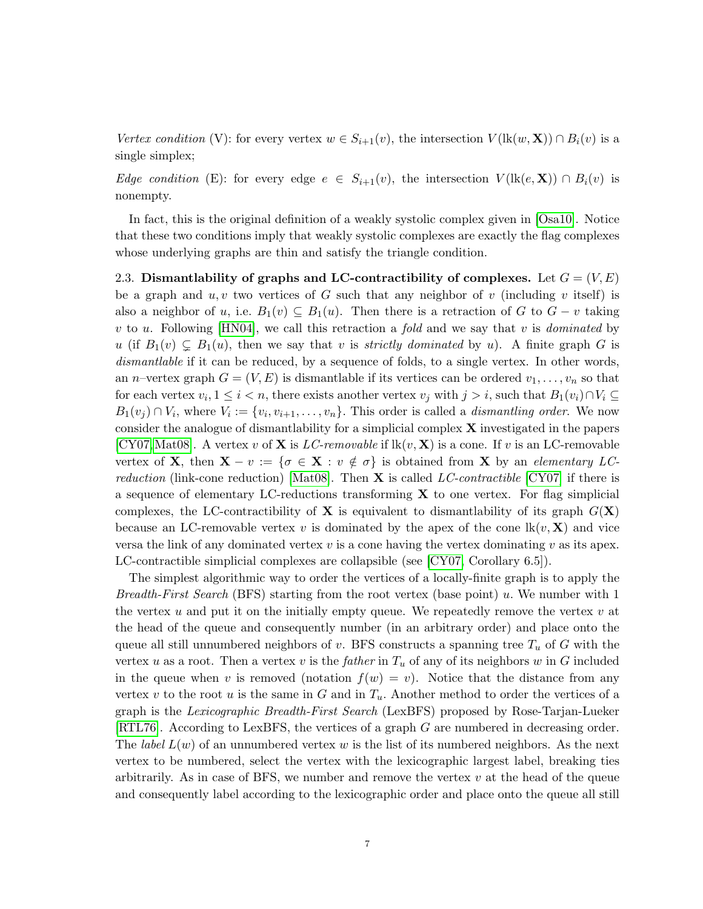Vertex condition (V): for every vertex  $w \in S_{i+1}(v)$ , the intersection  $V(\text{lk}(w, \mathbf{X})) \cap B_i(v)$  is a single simplex;

Edge condition (E): for every edge  $e \in S_{i+1}(v)$ , the intersection  $V(\text{lk}(e, \mathbf{X})) \cap B_i(v)$  is nonempty.

In fact, this is the original definition of a weakly systolic complex given in [\[Osa10\]](#page-27-9). Notice that these two conditions imply that weakly systolic complexes are exactly the flag complexes whose underlying graphs are thin and satisfy the triangle condition.

<span id="page-6-0"></span>2.3. Dismantlability of graphs and LC-contractibility of complexes. Let  $G = (V, E)$ be a graph and  $u, v$  two vertices of G such that any neighbor of v (including v itself) is also a neighbor of u, i.e.  $B_1(v) \subseteq B_1(u)$ . Then there is a retraction of G to  $G - v$  taking v to u. Following [\[HN04\]](#page-26-11), we call this retraction a fold and we say that v is dominated by u (if  $B_1(v) \subsetneq B_1(u)$ , then we say that v is *strictly dominated* by u). A finite graph G is dismantlable if it can be reduced, by a sequence of folds, to a single vertex. In other words, an *n*–vertex graph  $G = (V, E)$  is dismantlable if its vertices can be ordered  $v_1, \ldots, v_n$  so that for each vertex  $v_i, 1 \leq i < n$ , there exists another vertex  $v_j$  with  $j > i$ , such that  $B_1(v_i) \cap V_i \subseteq$  $B_1(v_j) \cap V_i$ , where  $V_i := \{v_i, v_{i+1}, \ldots, v_n\}$ . This order is called a *dismantling order*. We now consider the analogue of dismantlability for a simplicial complex  $X$  investigated in the papers  $[CY07, Mat08]$  $[CY07, Mat08]$  $[CY07, Mat08]$ . A vertex v of **X** is *LC-removable* if  $lk(v, X)$  is a cone. If v is an LC-removable vertex of **X**, then  $X - v := \{ \sigma \in X : v \notin \sigma \}$  is obtained from X by an elementary LC*reduction* (link-cone reduction) [\[Mat08\]](#page-27-15). Then **X** is called LC-contractible [\[CY07\]](#page-26-12) if there is a sequence of elementary LC-reductions transforming  $X$  to one vertex. For flag simplicial complexes, the LC-contractibility of **X** is equivalent to dismantlability of its graph  $G(\mathbf{X})$ because an LC-removable vertex v is dominated by the apex of the cone  $\text{lk}(v, \mathbf{X})$  and vice versa the link of any dominated vertex  $v$  is a cone having the vertex dominating  $v$  as its apex. LC-contractible simplicial complexes are collapsible (see [\[CY07,](#page-26-12) Corollary 6.5]).

The simplest algorithmic way to order the vertices of a locally-finite graph is to apply the *Breadth-First Search* (BFS) starting from the root vertex (base point) u. We number with 1 the vertex  $u$  and put it on the initially empty queue. We repeatedly remove the vertex  $v$  at the head of the queue and consequently number (in an arbitrary order) and place onto the queue all still unnumbered neighbors of v. BFS constructs a spanning tree  $T_u$  of G with the vertex u as a root. Then a vertex v is the *father* in  $T_u$  of any of its neighbors w in G included in the queue when v is removed (notation  $f(w) = v$ ). Notice that the distance from any vertex v to the root u is the same in G and in  $T_u$ . Another method to order the vertices of a graph is the Lexicographic Breadth-First Search (LexBFS) proposed by Rose-Tarjan-Lueker [\[RTL76\]](#page-27-16). According to LexBFS, the vertices of a graph G are numbered in decreasing order. The *label*  $L(w)$  of an unnumbered vertex w is the list of its numbered neighbors. As the next vertex to be numbered, select the vertex with the lexicographic largest label, breaking ties arbitrarily. As in case of BFS, we number and remove the vertex  $v$  at the head of the queue and consequently label according to the lexicographic order and place onto the queue all still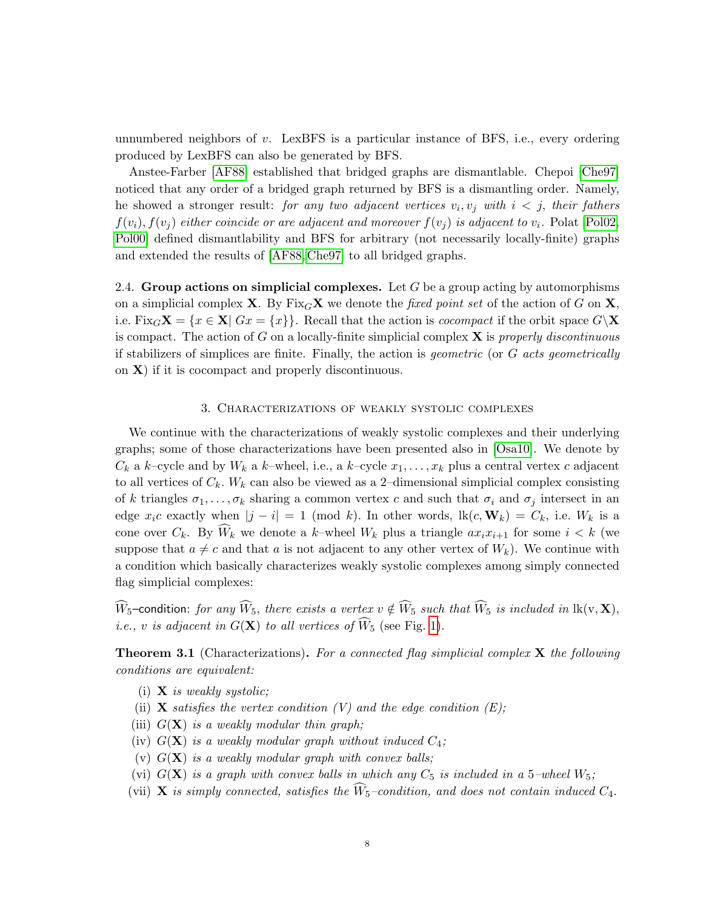unnumbered neighbors of v. LexBFS is a particular instance of BFS, i.e., every ordering produced by LexBFS can also be generated by BFS.

Anstee-Farber [\[AF88\]](#page-26-4) established that bridged graphs are dismantlable. Chepoi [\[Che97\]](#page-26-6) noticed that any order of a bridged graph returned by BFS is a dismantling order. Namely, he showed a stronger result: for any two adjacent vertices  $v_i, v_j$  with  $i < j$ , their fathers  $f(v_i)$ ,  $f(v_j)$  either coincide or are adjacent and moreover  $f(v_i)$  is adjacent to  $v_i$ . Polat [\[Pol02,](#page-27-2) [Pol00\]](#page-27-3) defined dismantlability and BFS for arbitrary (not necessarily locally-finite) graphs and extended the results of [\[AF88,](#page-26-4) [Che97\]](#page-26-6) to all bridged graphs.

2.4. Group actions on simplicial complexes. Let  $G$  be a group acting by automorphisms on a simplicial complex **X**. By Fix<sub>G</sub>**X** we denote the fixed point set of the action of G on **X**, i.e. Fix $_G\mathbf{X} = \{x \in \mathbf{X} | Gx = \{x\}\}\.$  Recall that the action is *cocompact* if the orbit space  $G\backslash \mathbf{X}$ is compact. The action of G on a locally-finite simplicial complex  $X$  is properly discontinuous if stabilizers of simplices are finite. Finally, the action is *geometric* (or  $G$  acts geometrically on  $X$ ) if it is cocompact and properly discontinuous.

## 3. Characterizations of weakly systolic complexes

<span id="page-7-0"></span>We continue with the characterizations of weakly systolic complexes and their underlying graphs; some of those characterizations have been presented also in [\[Osa10\]](#page-27-9). We denote by  $C_k$  a k–cycle and by  $W_k$  a k–wheel, i.e., a k–cycle  $x_1, \ldots, x_k$  plus a central vertex c adjacent to all vertices of  $C_k$ .  $W_k$  can also be viewed as a 2-dimensional simplicial complex consisting of k triangles  $\sigma_1, \ldots, \sigma_k$  sharing a common vertex c and such that  $\sigma_i$  and  $\sigma_j$  intersect in an edge  $x_i c$  exactly when  $|j - i| = 1 \pmod{k}$ . In other words,  $\text{lk}(c, \mathbf{W}_k) = C_k$ , i.e.  $W_k$  is a cone over  $C_k$ . By  $\widehat{W}_k$  we denote a k–wheel  $W_k$  plus a triangle  $ax_ix_{i+1}$  for some  $i < k$  (we suppose that  $a \neq c$  and that a is not adjacent to any other vertex of  $W_k$ ). We continue with a condition which basically characterizes weakly systolic complexes among simply connected flag simplicial complexes:

 $\widehat{W}_5$ –condition: for any  $\widehat{W}_5$ , there exists a vertex  $v \notin \widehat{W}_5$  such that  $\widehat{W}_5$  is included in  $lk(v, X)$ , *i.e.*, v is adjacent in  $G(\mathbf{X})$  to all vertices of  $\widehat{W}_5$  (see Fig. [1\)](#page-8-0).

<span id="page-7-1"></span>**Theorem 3.1** (Characterizations). For a connected flag simplicial complex  $X$  the following conditions are equivalent:

- (i)  $X$  is weakly systolic;
- (ii) **X** satisfies the vertex condition  $(V)$  and the edge condition  $(E)$ ;
- (iii)  $G(\mathbf{X})$  is a weakly modular thin graph;
- (iv)  $G(\mathbf{X})$  is a weakly modular graph without induced  $C_4$ ;
- (v)  $G(\mathbf{X})$  is a weakly modular graph with convex balls;
- (vi)  $G(X)$  is a graph with convex balls in which any  $C_5$  is included in a 5-wheel  $W_5$ ;
- (vii) **X** is simply connected, satisfies the  $\widehat{W}_5$ -condition, and does not contain induced  $C_4$ .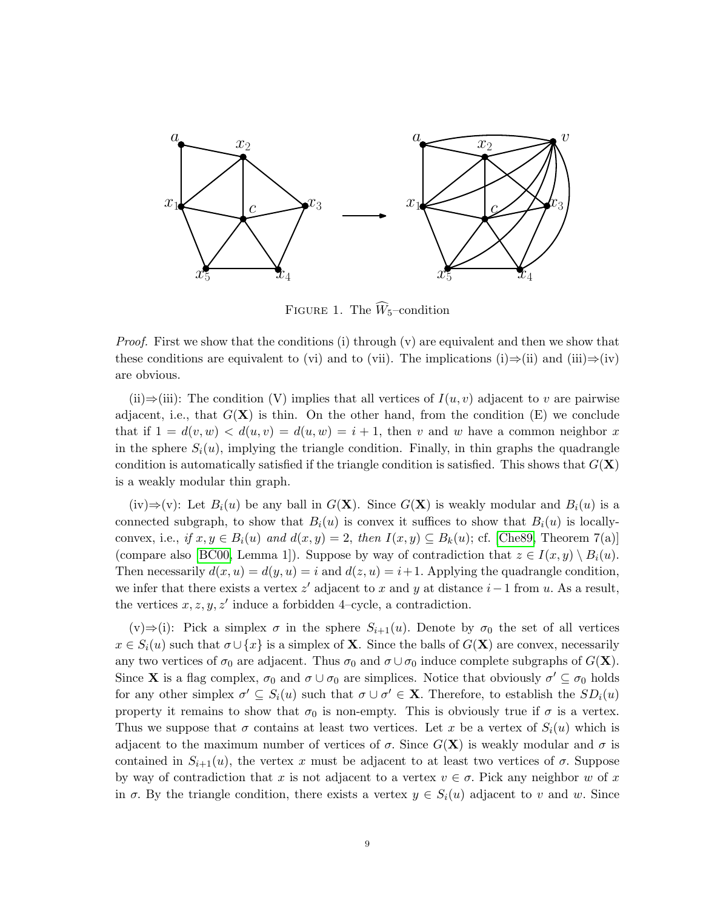

<span id="page-8-0"></span>FIGURE 1. The  $\widehat{W}_5$ -condition

*Proof.* First we show that the conditions (i) through  $(v)$  are equivalent and then we show that these conditions are equivalent to (vi) and to (vii). The implications (i)⇒(ii) and (iii)⇒(iv) are obvious.

(ii)⇒(iii): The condition (V) implies that all vertices of  $I(u, v)$  adjacent to v are pairwise adjacent, i.e., that  $G(\mathbf{X})$  is thin. On the other hand, from the condition  $(E)$  we conclude that if  $1 = d(v, w) < d(u, v) = d(u, w) = i + 1$ , then v and w have a common neighbor x in the sphere  $S_i(u)$ , implying the triangle condition. Finally, in thin graphs the quadrangle condition is automatically satisfied if the triangle condition is satisfied. This shows that  $G(\mathbf{X})$ is a weakly modular thin graph.

(iv)⇒(v): Let  $B_i(u)$  be any ball in  $G(\mathbf{X})$ . Since  $G(\mathbf{X})$  is weakly modular and  $B_i(u)$  is a connected subgraph, to show that  $B_i(u)$  is convex it suffices to show that  $B_i(u)$  is locallyconvex, i.e., if  $x, y \in B_i(u)$  and  $d(x, y) = 2$ , then  $I(x, y) \subseteq B_k(u)$ ; cf. [\[Che89,](#page-26-13) Theorem 7(a)] (compare also [\[BC00,](#page-26-14) Lemma 1]). Suppose by way of contradiction that  $z \in I(x, y) \setminus B_i(u)$ . Then necessarily  $d(x, u) = d(y, u) = i$  and  $d(z, u) = i+1$ . Applying the quadrangle condition, we infer that there exists a vertex  $z'$  adjacent to x and y at distance  $i-1$  from u. As a result, the vertices  $x, z, y, z'$  induce a forbidden 4–cycle, a contradiction.

 $(v) \Rightarrow$ (i): Pick a simplex  $\sigma$  in the sphere  $S_{i+1}(u)$ . Denote by  $\sigma_0$  the set of all vertices  $x \in S_i(u)$  such that  $\sigma \cup \{x\}$  is a simplex of **X**. Since the balls of  $G(\mathbf{X})$  are convex, necessarily any two vertices of  $\sigma_0$  are adjacent. Thus  $\sigma_0$  and  $\sigma \cup \sigma_0$  induce complete subgraphs of  $G(\mathbf{X})$ . Since **X** is a flag complex,  $\sigma_0$  and  $\sigma \cup \sigma_0$  are simplices. Notice that obviously  $\sigma' \subseteq \sigma_0$  holds for any other simplex  $\sigma' \subseteq S_i(u)$  such that  $\sigma \cup \sigma' \in \mathbf{X}$ . Therefore, to establish the  $SD_i(u)$ property it remains to show that  $\sigma_0$  is non-empty. This is obviously true if  $\sigma$  is a vertex. Thus we suppose that  $\sigma$  contains at least two vertices. Let x be a vertex of  $S_i(u)$  which is adjacent to the maximum number of vertices of  $\sigma$ . Since  $G(\mathbf{X})$  is weakly modular and  $\sigma$  is contained in  $S_{i+1}(u)$ , the vertex x must be adjacent to at least two vertices of  $\sigma$ . Suppose by way of contradiction that x is not adjacent to a vertex  $v \in \sigma$ . Pick any neighbor w of x in  $\sigma$ . By the triangle condition, there exists a vertex  $y \in S_i(u)$  adjacent to v and w. Since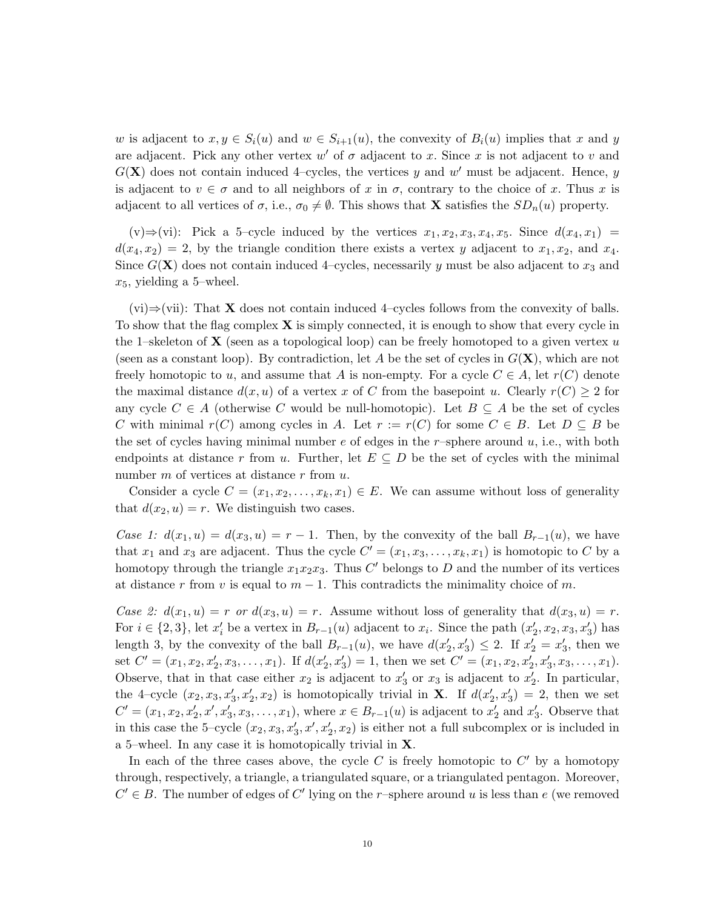w is adjacent to  $x, y \in S_i(u)$  and  $w \in S_{i+1}(u)$ , the convexity of  $B_i(u)$  implies that x and y are adjacent. Pick any other vertex w' of  $\sigma$  adjacent to x. Since x is not adjacent to v and  $G(X)$  does not contain induced 4-cycles, the vertices y and w' must be adjacent. Hence, y is adjacent to  $v \in \sigma$  and to all neighbors of x in  $\sigma$ , contrary to the choice of x. Thus x is adjacent to all vertices of  $\sigma$ , i.e.,  $\sigma_0 \neq \emptyset$ . This shows that **X** satisfies the  $SD_n(u)$  property.

(v)⇒(vi): Pick a 5-cycle induced by the vertices  $x_1, x_2, x_3, x_4, x_5$ . Since  $d(x_4, x_1)$  =  $d(x_4, x_2) = 2$ , by the triangle condition there exists a vertex y adjacent to  $x_1, x_2$ , and  $x_4$ . Since  $G(\mathbf{X})$  does not contain induced 4-cycles, necessarily y must be also adjacent to  $x_3$  and  $x_5$ , yielding a 5-wheel.

 $(vi) \Rightarrow (vii)$ : That **X** does not contain induced 4–cycles follows from the convexity of balls. To show that the flag complex  $X$  is simply connected, it is enough to show that every cycle in the 1–skeleton of **X** (seen as a topological loop) can be freely homotoped to a given vertex u (seen as a constant loop). By contradiction, let A be the set of cycles in  $G(\mathbf{X})$ , which are not freely homotopic to u, and assume that A is non-empty. For a cycle  $C \in A$ , let  $r(C)$  denote the maximal distance  $d(x, u)$  of a vertex x of C from the basepoint u. Clearly  $r(C) \geq 2$  for any cycle  $C \in A$  (otherwise C would be null-homotopic). Let  $B \subseteq A$  be the set of cycles C with minimal  $r(C)$  among cycles in A. Let  $r := r(C)$  for some  $C \in B$ . Let  $D \subseteq B$  be the set of cycles having minimal number  $e$  of edges in the r-sphere around  $u$ , i.e., with both endpoints at distance r from u. Further, let  $E \subseteq D$  be the set of cycles with the minimal number  $m$  of vertices at distance  $r$  from  $u$ .

Consider a cycle  $C = (x_1, x_2, \ldots, x_k, x_1) \in E$ . We can assume without loss of generality that  $d(x_2, u) = r$ . We distinguish two cases.

Case 1:  $d(x_1, u) = d(x_3, u) = r - 1$ . Then, by the convexity of the ball  $B_{r-1}(u)$ , we have that  $x_1$  and  $x_3$  are adjacent. Thus the cycle  $C' = (x_1, x_3, \ldots, x_k, x_1)$  is homotopic to C by a homotopy through the triangle  $x_1x_2x_3$ . Thus C' belongs to D and the number of its vertices at distance r from v is equal to  $m-1$ . This contradicts the minimality choice of m.

Case 2:  $d(x_1, u) = r$  or  $d(x_3, u) = r$ . Assume without loss of generality that  $d(x_3, u) = r$ . For  $i \in \{2,3\}$ , let  $x'_i$  be a vertex in  $B_{r-1}(u)$  adjacent to  $x_i$ . Since the path  $(x'_2, x_2, x_3, x'_3)$  has length 3, by the convexity of the ball  $B_{r-1}(u)$ , we have  $d(x'_2, x'_3) \leq 2$ . If  $x'_2 = x'_3$ , then we set  $C' = (x_1, x_2, x_2', x_3, \ldots, x_1)$ . If  $d(x_2', x_3') = 1$ , then we set  $C' = (x_1, x_2, x_2', x_3', x_3, \ldots, x_1)$ . Observe, that in that case either  $x_2$  is adjacent to  $x_3'$  or  $x_3$  is adjacent to  $x_2'$ . In particular, the 4-cycle  $(x_2, x_3, x_3', x_2', x_2)$  is homotopically trivial in **X**. If  $d(x_2', x_3') = 2$ , then we set  $C' = (x_1, x_2, x'_2, x', x'_3, x_3, \dots, x_1)$ , where  $x \in B_{r-1}(u)$  is adjacent to  $x'_2$  and  $x'_3$ . Observe that in this case the 5-cycle  $(x_2, x_3, x_3', x', x_2', x_2)$  is either not a full subcomplex or is included in a 5–wheel. In any case it is homotopically trivial in X.

In each of the three cases above, the cycle  $C$  is freely homotopic to  $C'$  by a homotopy through, respectively, a triangle, a triangulated square, or a triangulated pentagon. Moreover,  $C' \in B$ . The number of edges of C' lying on the r-sphere around u is less than e (we removed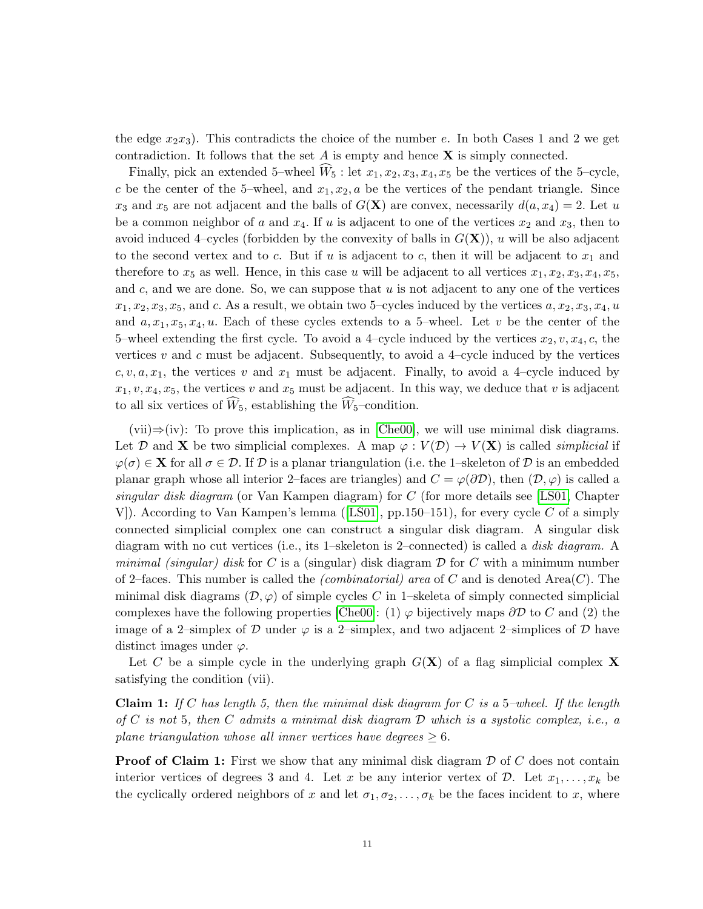the edge  $x_2x_3$ . This contradicts the choice of the number e. In both Cases 1 and 2 we get contradiction. It follows that the set  $A$  is empty and hence  $X$  is simply connected.

Finally, pick an extended 5–wheel  $W_5$ : let  $x_1, x_2, x_3, x_4, x_5$  be the vertices of the 5–cycle, c be the center of the 5–wheel, and  $x_1, x_2, a$  be the vertices of the pendant triangle. Since  $x_3$  and  $x_5$  are not adjacent and the balls of  $G(\mathbf{X})$  are convex, necessarily  $d(a, x_4) = 2$ . Let u be a common neighbor of a and  $x_4$ . If u is adjacent to one of the vertices  $x_2$  and  $x_3$ , then to avoid induced 4–cycles (forbidden by the convexity of balls in  $G(\mathbf{X})$ ), u will be also adjacent to the second vertex and to c. But if u is adjacent to c, then it will be adjacent to  $x_1$  and therefore to  $x_5$  as well. Hence, in this case u will be adjacent to all vertices  $x_1, x_2, x_3, x_4, x_5$ , and c, and we are done. So, we can suppose that  $u$  is not adjacent to any one of the vertices  $x_1, x_2, x_3, x_5$ , and c. As a result, we obtain two 5-cycles induced by the vertices  $a, x_2, x_3, x_4, u$ and  $a, x_1, x_5, x_4, u$ . Each of these cycles extends to a 5-wheel. Let v be the center of the 5–wheel extending the first cycle. To avoid a 4–cycle induced by the vertices  $x_2, v, x_4, c$ , the vertices v and c must be adjacent. Subsequently, to avoid a 4–cycle induced by the vertices c, v, a,  $x_1$ , the vertices v and  $x_1$  must be adjacent. Finally, to avoid a 4-cycle induced by  $x_1, v, x_4, x_5$ , the vertices v and  $x_5$  must be adjacent. In this way, we deduce that v is adjacent to all six vertices of  $\widehat{W}_5$ , establishing the  $\widehat{W}_5$ -condition.

 $(vii) \Rightarrow (iv)$ : To prove this implication, as in [\[Che00\]](#page-26-1), we will use minimal disk diagrams. Let D and X be two simplicial complexes. A map  $\varphi: V(\mathcal{D}) \to V(\mathbf{X})$  is called *simplicial* if  $\varphi(\sigma) \in \mathbf{X}$  for all  $\sigma \in \mathcal{D}$ . If  $\mathcal{D}$  is a planar triangulation (i.e. the 1–skeleton of  $\mathcal{D}$  is an embedded planar graph whose all interior 2–faces are triangles) and  $C = \varphi(\partial \mathcal{D})$ , then  $(\mathcal{D}, \varphi)$  is called a singular disk diagram (or Van Kampen diagram) for C (for more details see [\[LS01,](#page-27-17) Chapter V]). According to Van Kampen's lemma ([\[LS01\]](#page-27-17), pp.150–151), for every cycle C of a simply connected simplicial complex one can construct a singular disk diagram. A singular disk diagram with no cut vertices (i.e., its 1–skeleton is 2–connected) is called a *disk diagram*. A minimal (singular) disk for C is a (singular) disk diagram  $\mathcal D$  for C with a minimum number of 2–faces. This number is called the *(combinatorial)* area of C and is denoted Area $(C)$ . The minimal disk diagrams  $(D, \varphi)$  of simple cycles C in 1–skeleta of simply connected simplicial complexes have the following properties [\[Che00\]](#page-26-1): (1)  $\varphi$  bijectively maps  $\partial \mathcal{D}$  to C and (2) the image of a 2–simplex of D under  $\varphi$  is a 2–simplex, and two adjacent 2–simplices of D have distinct images under  $\varphi$ .

Let C be a simple cycle in the underlying graph  $G(\mathbf{X})$  of a flag simplicial complex X satisfying the condition (vii).

**Claim 1:** If C has length 5, then the minimal disk diagram for C is a 5-wheel. If the length of C is not 5, then C admits a minimal disk diagram  $\mathcal D$  which is a systolic complex, i.e., a plane triangulation whose all inner vertices have degrees  $\geq 6$ .

**Proof of Claim 1:** First we show that any minimal disk diagram  $\mathcal D$  of  $C$  does not contain interior vertices of degrees 3 and 4. Let x be any interior vertex of  $D$ . Let  $x_1, \ldots, x_k$  be the cyclically ordered neighbors of x and let  $\sigma_1, \sigma_2, \ldots, \sigma_k$  be the faces incident to x, where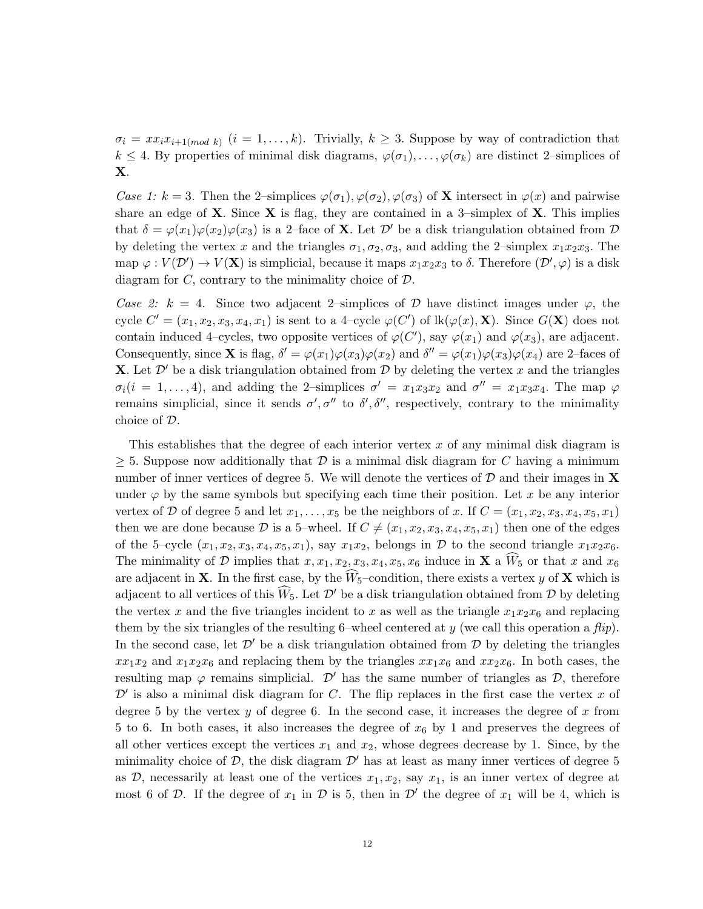$\sigma_i = xx_i x_{i+1(mod \, k})$   $(i = 1, ..., k)$ . Trivially,  $k \geq 3$ . Suppose by way of contradiction that  $k \leq 4$ . By properties of minimal disk diagrams,  $\varphi(\sigma_1), \ldots, \varphi(\sigma_k)$  are distinct 2-simplices of X.

Case 1: k = 3. Then the 2-simplices  $\varphi(\sigma_1), \varphi(\sigma_2), \varphi(\sigma_3)$  of **X** intersect in  $\varphi(x)$  and pairwise share an edge of  $X$ . Since  $X$  is flag, they are contained in a 3-simplex of  $X$ . This implies that  $\delta = \varphi(x_1)\varphi(x_2)\varphi(x_3)$  is a 2-face of **X**. Let  $\mathcal{D}'$  be a disk triangulation obtained from  $\mathcal{D}$ by deleting the vertex x and the triangles  $\sigma_1, \sigma_2, \sigma_3$ , and adding the 2-simplex  $x_1x_2x_3$ . The map  $\varphi: V(\mathcal{D}') \to V(\mathbf{X})$  is simplicial, because it maps  $x_1x_2x_3$  to  $\delta$ . Therefore  $(\mathcal{D}', \varphi)$  is a disk diagram for  $C$ , contrary to the minimality choice of  $D$ .

Case 2: k = 4. Since two adjacent 2–simplices of  $\mathcal D$  have distinct images under  $\varphi$ , the cycle  $C' = (x_1, x_2, x_3, x_4, x_1)$  is sent to a 4-cycle  $\varphi(C')$  of  $lk(\varphi(x), \mathbf{X})$ . Since  $G(\mathbf{X})$  does not contain induced 4-cycles, two opposite vertices of  $\varphi(C')$ , say  $\varphi(x_1)$  and  $\varphi(x_3)$ , are adjacent. Consequently, since **X** is flag,  $\delta' = \varphi(x_1)\varphi(x_3)\varphi(x_2)$  and  $\delta'' = \varphi(x_1)\varphi(x_3)\varphi(x_4)$  are 2-faces of **X**. Let  $\mathcal{D}'$  be a disk triangulation obtained from  $\mathcal{D}$  by deleting the vertex x and the triangles  $\sigma_i(i=1,\ldots,4)$ , and adding the 2-simplices  $\sigma' = x_1x_3x_2$  and  $\sigma'' = x_1x_3x_4$ . The map  $\varphi$ remains simplicial, since it sends  $\sigma', \sigma''$  to  $\delta', \delta'',$  respectively, contrary to the minimality choice of D.

This establishes that the degree of each interior vertex  $x$  of any minimal disk diagram is  $\geq$  5. Suppose now additionally that D is a minimal disk diagram for C having a minimum number of inner vertices of degree 5. We will denote the vertices of  $D$  and their images in  $X$ under  $\varphi$  by the same symbols but specifying each time their position. Let x be any interior vertex of D of degree 5 and let  $x_1, \ldots, x_5$  be the neighbors of x. If  $C = (x_1, x_2, x_3, x_4, x_5, x_1)$ then we are done because D is a 5–wheel. If  $C \neq (x_1, x_2, x_3, x_4, x_5, x_1)$  then one of the edges of the 5–cycle  $(x_1, x_2, x_3, x_4, x_5, x_1)$ , say  $x_1x_2$ , belongs in D to the second triangle  $x_1x_2x_6$ . The minimality of D implies that  $x, x_1, x_2, x_3, x_4, x_5, x_6$  induce in **X** a  $\dot{W}_5$  or that x and  $x_6$ are adjacent in **X**. In the first case, by the  $\hat{W}_{5}$ -condition, there exists a vertex y of **X** which is adjacent to all vertices of this  $\hat{W}_5$ . Let  $\mathcal{D}'$  be a disk triangulation obtained from  $\mathcal{D}$  by deleting the vertex x and the five triangles incident to x as well as the triangle  $x_1x_2x_6$  and replacing them by the six triangles of the resulting 6–wheel centered at y (we call this operation a  $flip$ ). In the second case, let  $\mathcal{D}'$  be a disk triangulation obtained from  $\mathcal{D}$  by deleting the triangles  $xx_1x_2$  and  $x_1x_2x_6$  and replacing them by the triangles  $xx_1x_6$  and  $xx_2x_6$ . In both cases, the resulting map  $\varphi$  remains simplicial. D' has the same number of triangles as D, therefore  $\mathcal{D}'$  is also a minimal disk diagram for C. The flip replaces in the first case the vertex x of degree 5 by the vertex y of degree 6. In the second case, it increases the degree of x from 5 to 6. In both cases, it also increases the degree of  $x_6$  by 1 and preserves the degrees of all other vertices except the vertices  $x_1$  and  $x_2$ , whose degrees decrease by 1. Since, by the minimality choice of  $\mathcal{D}$ , the disk diagram  $\mathcal{D}'$  has at least as many inner vertices of degree 5 as  $D$ , necessarily at least one of the vertices  $x_1, x_2$ , say  $x_1$ , is an inner vertex of degree at most 6 of D. If the degree of  $x_1$  in D is 5, then in D' the degree of  $x_1$  will be 4, which is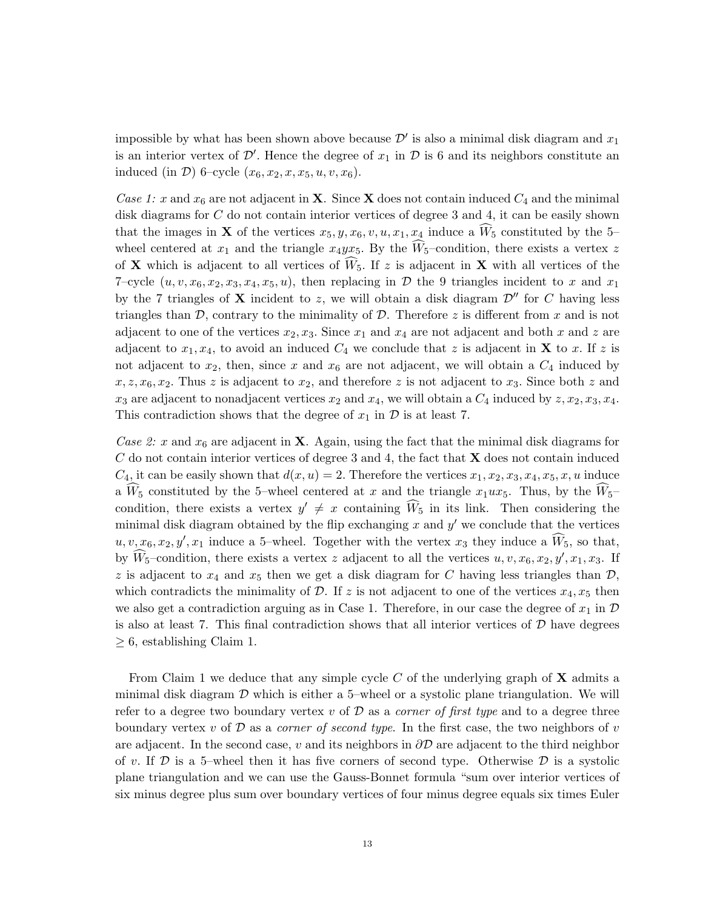impossible by what has been shown above because  $\mathcal{D}'$  is also a minimal disk diagram and  $x_1$ is an interior vertex of  $\mathcal{D}'$ . Hence the degree of  $x_1$  in  $\mathcal D$  is 6 and its neighbors constitute an induced (in  $D$ ) 6–cycle  $(x_6, x_2, x, x_5, u, v, x_6)$ .

Case 1: x and  $x_6$  are not adjacent in **X**. Since **X** does not contain induced  $C_4$  and the minimal disk diagrams for C do not contain interior vertices of degree 3 and 4, it can be easily shown that the images in **X** of the vertices  $x_5, y, x_6, v, u, x_1, x_4$  induce a  $\hat{W}_5$  constituted by the 5– wheel centered at  $x_1$  and the triangle  $x_4yx_5$ . By the  $\widehat{W}_5$ -condition, there exists a vertex z of **X** which is adjacent to all vertices of  $\widehat{W}_5$ . If z is adjacent in **X** with all vertices of the 7–cycle  $(u, v, x_6, x_2, x_3, x_4, x_5, u)$ , then replacing in  $\mathcal D$  the 9 triangles incident to x and  $x_1$ by the 7 triangles of **X** incident to z, we will obtain a disk diagram  $\mathcal{D}''$  for C having less triangles than  $\mathcal{D}$ , contrary to the minimality of  $\mathcal{D}$ . Therefore z is different from x and is not adjacent to one of the vertices  $x_2, x_3$ . Since  $x_1$  and  $x_4$  are not adjacent and both x and z are adjacent to  $x_1, x_4$ , to avoid an induced  $C_4$  we conclude that z is adjacent in **X** to x. If z is not adjacent to  $x_2$ , then, since x and  $x_6$  are not adjacent, we will obtain a  $C_4$  induced by  $x, z, x_6, x_2$ . Thus z is adjacent to  $x_2$ , and therefore z is not adjacent to  $x_3$ . Since both z and  $x_3$  are adjacent to nonadjacent vertices  $x_2$  and  $x_4$ , we will obtain a  $C_4$  induced by  $z, x_2, x_3, x_4$ . This contradiction shows that the degree of  $x_1$  in  $\mathcal D$  is at least 7.

Case 2: x and  $x_6$  are adjacent in **X**. Again, using the fact that the minimal disk diagrams for  $C$  do not contain interior vertices of degree 3 and 4, the fact that  $X$  does not contain induced  $C_4$ , it can be easily shown that  $d(x, u) = 2$ . Therefore the vertices  $x_1, x_2, x_3, x_4, x_5, x, u$  induce a  $W_5$  constituted by the 5–wheel centered at x and the triangle  $x_1ux_5$ . Thus, by the  $\widetilde{W}_5$ – condition, there exists a vertex  $y' \neq x$  containing  $\widehat{W}_5$  in its link. Then considering the minimal disk diagram obtained by the flip exchanging  $x$  and  $y'$  we conclude that the vertices  $u, v, x_6, x_2, y', x_1$  induce a 5-wheel. Together with the vertex  $x_3$  they induce a  $\widetilde{W}_5$ , so that, by  $\widehat{W}_5$ -condition, there exists a vertex z adjacent to all the vertices  $u, v, x_6, x_2, y', x_1, x_3$ . If z is adjacent to  $x_4$  and  $x_5$  then we get a disk diagram for C having less triangles than  $\mathcal{D}$ , which contradicts the minimality of  $\mathcal{D}$ . If z is not adjacent to one of the vertices  $x_4, x_5$  then we also get a contradiction arguing as in Case 1. Therefore, in our case the degree of  $x_1$  in  $\mathcal D$ is also at least 7. This final contradiction shows that all interior vertices of  $D$  have degrees  $\geq 6$ , establishing Claim 1.

From Claim 1 we deduce that any simple cycle C of the underlying graph of  $X$  admits a minimal disk diagram  $\mathcal D$  which is either a 5-wheel or a systolic plane triangulation. We will refer to a degree two boundary vertex v of  $D$  as a *corner of first type* and to a degree three boundary vertex v of  $\mathcal D$  as a *corner of second type*. In the first case, the two neighbors of v are adjacent. In the second case, v and its neighbors in  $\partial \mathcal{D}$  are adjacent to the third neighbor of v. If  $\mathcal D$  is a 5-wheel then it has five corners of second type. Otherwise  $\mathcal D$  is a systolic plane triangulation and we can use the Gauss-Bonnet formula "sum over interior vertices of six minus degree plus sum over boundary vertices of four minus degree equals six times Euler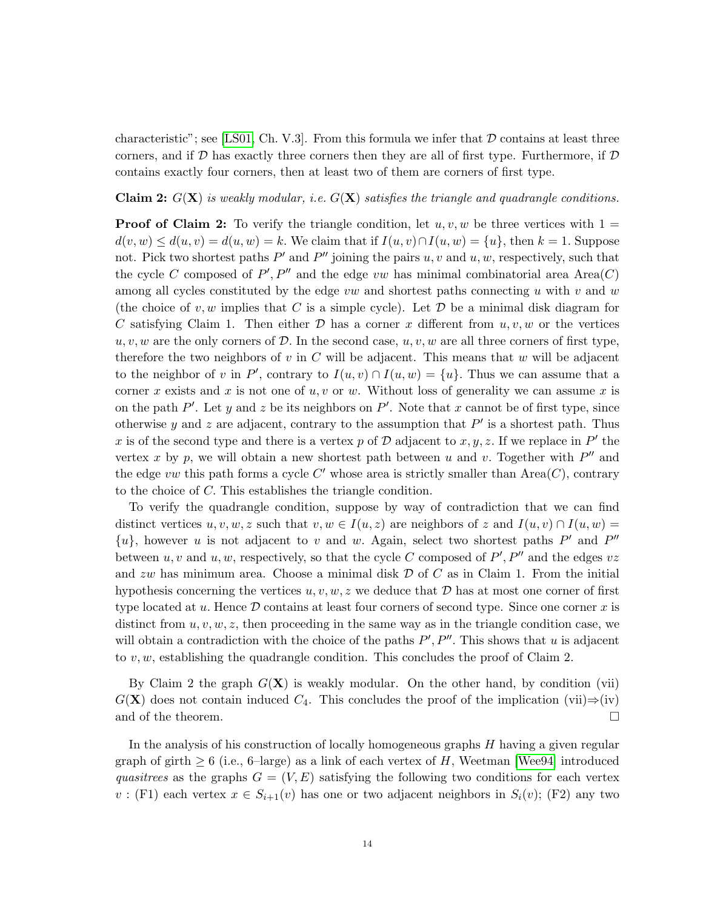characteristic"; see [\[LS01,](#page-27-17) Ch. V.3]. From this formula we infer that  $D$  contains at least three corners, and if  $D$  has exactly three corners then they are all of first type. Furthermore, if  $D$ contains exactly four corners, then at least two of them are corners of first type.

## **Claim 2:**  $G(\mathbf{X})$  is weakly modular, i.e.  $G(\mathbf{X})$  satisfies the triangle and quadrangle conditions.

**Proof of Claim 2:** To verify the triangle condition, let  $u, v, w$  be three vertices with  $1 =$  $d(v, w) \leq d(u, v) = d(u, w) = k$ . We claim that if  $I(u, v) \cap I(u, w) = \{u\}$ , then  $k = 1$ . Suppose not. Pick two shortest paths  $P'$  and  $P''$  joining the pairs u, v and u, w, respectively, such that the cycle C composed of  $P', P''$  and the edge vw has minimal combinatorial area Area $(C)$ among all cycles constituted by the edge vw and shortest paths connecting u with v and w (the choice of v, w implies that C is a simple cycle). Let  $\mathcal D$  be a minimal disk diagram for C satisfying Claim 1. Then either  $\mathcal D$  has a corner x different from  $u, v, w$  or the vertices  $u, v, w$  are the only corners of D. In the second case,  $u, v, w$  are all three corners of first type, therefore the two neighbors of v in C will be adjacent. This means that w will be adjacent to the neighbor of v in P', contrary to  $I(u, v) \cap I(u, w) = \{u\}$ . Thus we can assume that a corner x exists and x is not one of  $u, v$  or w. Without loss of generality we can assume x is on the path  $P'$ . Let y and z be its neighbors on  $P'$ . Note that x cannot be of first type, since otherwise y and z are adjacent, contrary to the assumption that  $P'$  is a shortest path. Thus x is of the second type and there is a vertex p of D adjacent to x, y, z. If we replace in  $P'$  the vertex x by p, we will obtain a new shortest path between u and v. Together with  $P''$  and the edge vw this path forms a cycle  $C'$  whose area is strictly smaller than  $Area(C)$ , contrary to the choice of C. This establishes the triangle condition.

To verify the quadrangle condition, suppose by way of contradiction that we can find distinct vertices  $u, v, w, z$  such that  $v, w \in I(u, z)$  are neighbors of z and  $I(u, v) \cap I(u, w) =$  $\{u\}$ , however u is not adjacent to v and w. Again, select two shortest paths P' and P'' between  $u, v$  and  $u, w$ , respectively, so that the cycle C composed of  $P', P''$  and the edges  $vz$ and  $zw$  has minimum area. Choose a minimal disk  $D$  of  $C$  as in Claim 1. From the initial hypothesis concerning the vertices  $u, v, w, z$  we deduce that  $D$  has at most one corner of first type located at  $u$ . Hence  $\mathcal D$  contains at least four corners of second type. Since one corner  $x$  is distinct from  $u, v, w, z$ , then proceeding in the same way as in the triangle condition case, we will obtain a contradiction with the choice of the paths  $P', P''$ . This shows that u is adjacent to  $v, w$ , establishing the quadrangle condition. This concludes the proof of Claim 2.

By Claim 2 the graph  $G(\mathbf{X})$  is weakly modular. On the other hand, by condition (vii)  $G(X)$  does not contain induced  $C_4$ . This concludes the proof of the implication (vii)⇒(iv) and of the theorem.  $\Box$ 

In the analysis of his construction of locally homogeneous graphs  $H$  having a given regular graph of girth  $\geq 6$  (i.e., 6–large) as a link of each vertex of H, Weetman [\[Wee94\]](#page-27-18) introduced quasitrees as the graphs  $G = (V, E)$  satisfying the following two conditions for each vertex  $v:$  (F1) each vertex  $x \in S_{i+1}(v)$  has one or two adjacent neighbors in  $S_i(v)$ ; (F2) any two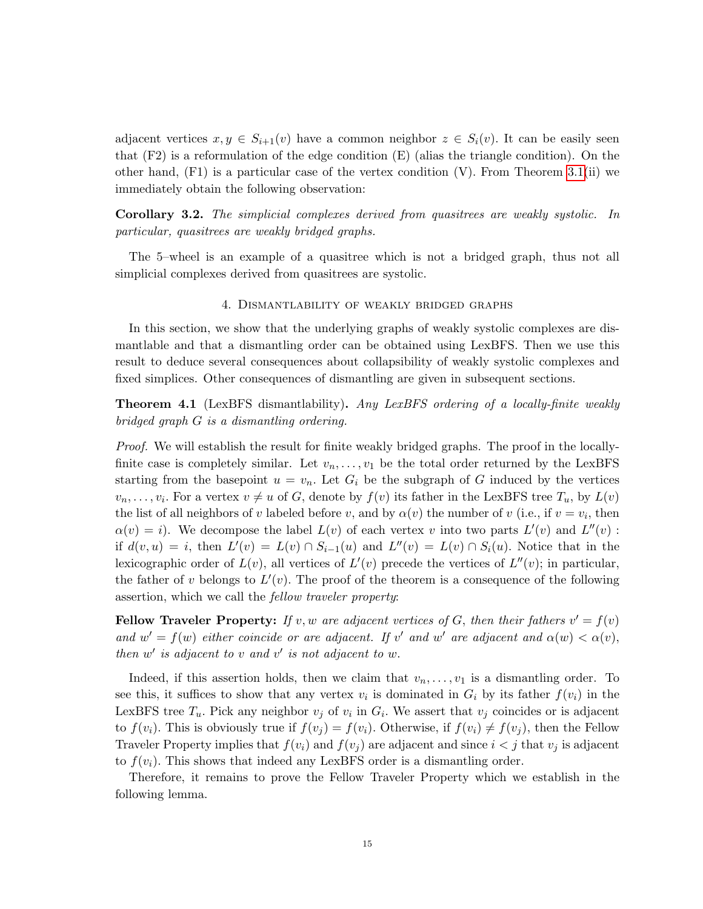adjacent vertices  $x, y \in S_{i+1}(v)$  have a common neighbor  $z \in S_i(v)$ . It can be easily seen that  $(F2)$  is a reformulation of the edge condition  $(E)$  (alias the triangle condition). On the other hand,  $(F1)$  is a particular case of the vertex condition  $(V)$ . From Theorem [3.1\(](#page-7-1)ii) we immediately obtain the following observation:

Corollary 3.2. The simplicial complexes derived from quasitrees are weakly systolic. In particular, quasitrees are weakly bridged graphs.

The 5–wheel is an example of a quasitree which is not a bridged graph, thus not all simplicial complexes derived from quasitrees are systolic.

# 4. Dismantlability of weakly bridged graphs

<span id="page-14-0"></span>In this section, we show that the underlying graphs of weakly systolic complexes are dismantlable and that a dismantling order can be obtained using LexBFS. Then we use this result to deduce several consequences about collapsibility of weakly systolic complexes and fixed simplices. Other consequences of dismantling are given in subsequent sections.

<span id="page-14-1"></span>Theorem 4.1 (LexBFS dismantlability). Any LexBFS ordering of a locally-finite weakly bridged graph G is a dismantling ordering.

Proof. We will establish the result for finite weakly bridged graphs. The proof in the locallyfinite case is completely similar. Let  $v_n, \ldots, v_1$  be the total order returned by the LexBFS starting from the basepoint  $u = v_n$ . Let  $G_i$  be the subgraph of G induced by the vertices  $v_n, \ldots, v_i$ . For a vertex  $v \neq u$  of G, denote by  $f(v)$  its father in the LexBFS tree  $T_u$ , by  $L(v)$ the list of all neighbors of v labeled before v, and by  $\alpha(v)$  the number of v (i.e., if  $v = v_i$ , then  $\alpha(v) = i$ . We decompose the label  $L(v)$  of each vertex v into two parts  $L'(v)$  and  $L''(v)$ : if  $d(v, u) = i$ , then  $L'(v) = L(v) \cap S_{i-1}(u)$  and  $L''(v) = L(v) \cap S_i(u)$ . Notice that in the lexicographic order of  $L(v)$ , all vertices of  $L'(v)$  precede the vertices of  $L''(v)$ ; in particular, the father of v belongs to  $L'(v)$ . The proof of the theorem is a consequence of the following assertion, which we call the fellow traveler property:

Fellow Traveler Property: If v, w are adjacent vertices of G, then their fathers  $v' = f(v)$ and  $w' = f(w)$  either coincide or are adjacent. If v' and w' are adjacent and  $\alpha(w) < \alpha(v)$ , then  $w'$  is adjacent to v and v' is not adjacent to w.

Indeed, if this assertion holds, then we claim that  $v_n, \ldots, v_1$  is a dismantling order. To see this, it suffices to show that any vertex  $v_i$  is dominated in  $G_i$  by its father  $f(v_i)$  in the LexBFS tree  $T_u$ . Pick any neighbor  $v_j$  of  $v_i$  in  $G_i$ . We assert that  $v_j$  coincides or is adjacent to  $f(v_i)$ . This is obviously true if  $f(v_i) = f(v_i)$ . Otherwise, if  $f(v_i) \neq f(v_i)$ , then the Fellow Traveler Property implies that  $f(v_i)$  and  $f(v_j)$  are adjacent and since  $i < j$  that  $v_j$  is adjacent to  $f(v_i)$ . This shows that indeed any LexBFS order is a dismantling order.

Therefore, it remains to prove the Fellow Traveler Property which we establish in the following lemma.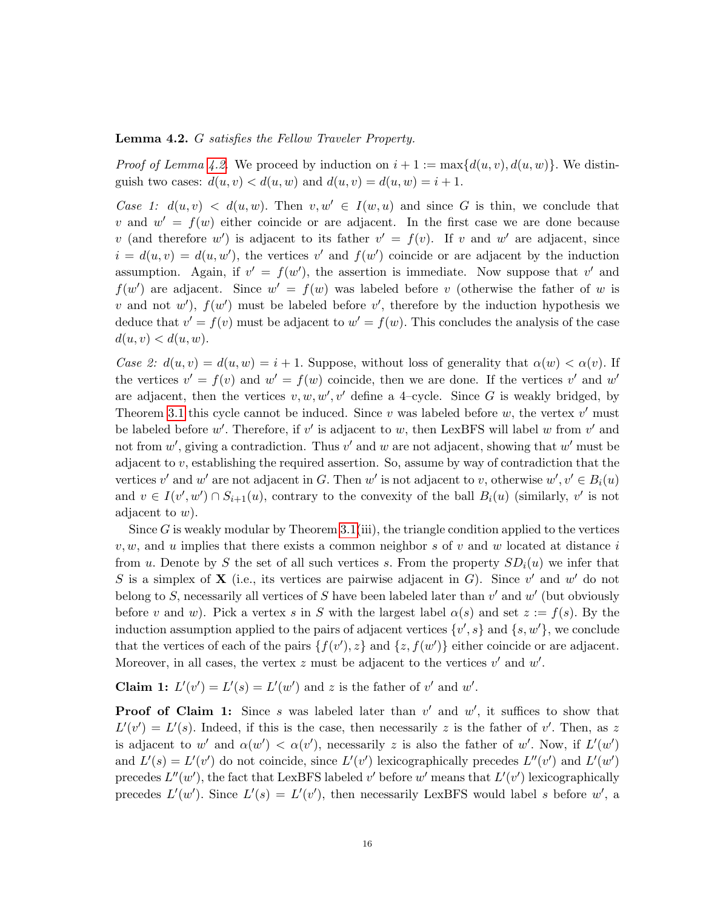## <span id="page-15-0"></span>Lemma 4.2. G satisfies the Fellow Traveler Property.

*Proof of Lemma [4.2.](#page-15-0)* We proceed by induction on  $i + 1 := \max\{d(u, v), d(u, w)\}\.$  We distinguish two cases:  $d(u, v) < d(u, w)$  and  $d(u, v) = d(u, w) = i + 1$ .

Case 1:  $d(u, v) < d(u, w)$ . Then  $v, w' \in I(w, u)$  and since G is thin, we conclude that v and  $w' = f(w)$  either coincide or are adjacent. In the first case we are done because v (and therefore w') is adjacent to its father  $v' = f(v)$ . If v and w' are adjacent, since  $i = d(u, v) = d(u, w')$ , the vertices v' and  $f(w')$  coincide or are adjacent by the induction assumption. Again, if  $v' = f(w')$ , the assertion is immediate. Now suppose that v' and  $f(w')$  are adjacent. Since  $w' = f(w)$  was labeled before v (otherwise the father of w is v and not w'),  $f(w')$  must be labeled before v', therefore by the induction hypothesis we deduce that  $v' = f(v)$  must be adjacent to  $w' = f(w)$ . This concludes the analysis of the case  $d(u, v) < d(u, w)$ .

Case 2:  $d(u, v) = d(u, w) = i + 1$ . Suppose, without loss of generality that  $\alpha(w) < \alpha(v)$ . If the vertices  $v' = f(v)$  and  $w' = f(w)$  coincide, then we are done. If the vertices v' and w' are adjacent, then the vertices  $v, w, w', v'$  define a 4-cycle. Since G is weakly bridged, by Theorem [3.1](#page-7-1) this cycle cannot be induced. Since  $v$  was labeled before  $w$ , the vertex  $v'$  must be labeled before w'. Therefore, if  $v'$  is adjacent to w, then LexBFS will label w from  $v'$  and not from  $w'$ , giving a contradiction. Thus  $v'$  and  $w$  are not adjacent, showing that  $w'$  must be adjacent to  $v$ , establishing the required assertion. So, assume by way of contradiction that the vertices v' and w' are not adjacent in G. Then w' is not adjacent to v, otherwise  $w', v' \in B_i(u)$ and  $v \in I(v', w') \cap S_{i+1}(u)$ , contrary to the convexity of the ball  $B_i(u)$  (similarly, v' is not adjacent to  $w$ ).

Since  $G$  is weakly modular by Theorem [3.1\(](#page-7-1)iii), the triangle condition applied to the vertices  $v, w$ , and u implies that there exists a common neighbor s of v and w located at distance i from u. Denote by S the set of all such vertices s. From the property  $SD_i(u)$  we infer that S is a simplex of **X** (i.e., its vertices are pairwise adjacent in G). Since  $v'$  and  $w'$  do not belong to S, necessarily all vertices of S have been labeled later than  $v'$  and  $w'$  (but obviously before v and w). Pick a vertex s in S with the largest label  $\alpha(s)$  and set  $z := f(s)$ . By the induction assumption applied to the pairs of adjacent vertices  $\{v', s\}$  and  $\{s, w'\}$ , we conclude that the vertices of each of the pairs  $\{f(v'), z\}$  and  $\{z, f(w')\}$  either coincide or are adjacent. Moreover, in all cases, the vertex  $z$  must be adjacent to the vertices  $v'$  and  $w'$ .

**Claim 1:**  $L'(v') = L'(s) = L'(w')$  and z is the father of v' and w'.

**Proof of Claim 1:** Since s was labeled later than  $v'$  and  $w'$ , it suffices to show that  $L'(v') = L'(s)$ . Indeed, if this is the case, then necessarily z is the father of v'. Then, as z is adjacent to w' and  $\alpha(w') < \alpha(v')$ , necessarily z is also the father of w'. Now, if  $L'(w')$ and  $L'(s) = L'(v')$  do not coincide, since  $L'(v')$  lexicographically precedes  $L''(v')$  and  $L'(w')$ precedes  $L''(w')$ , the fact that LexBFS labeled v' before w' means that  $L'(v')$  lexicographically precedes  $L'(w')$ . Since  $L'(s) = L'(v')$ , then necessarily LexBFS would label s before w', a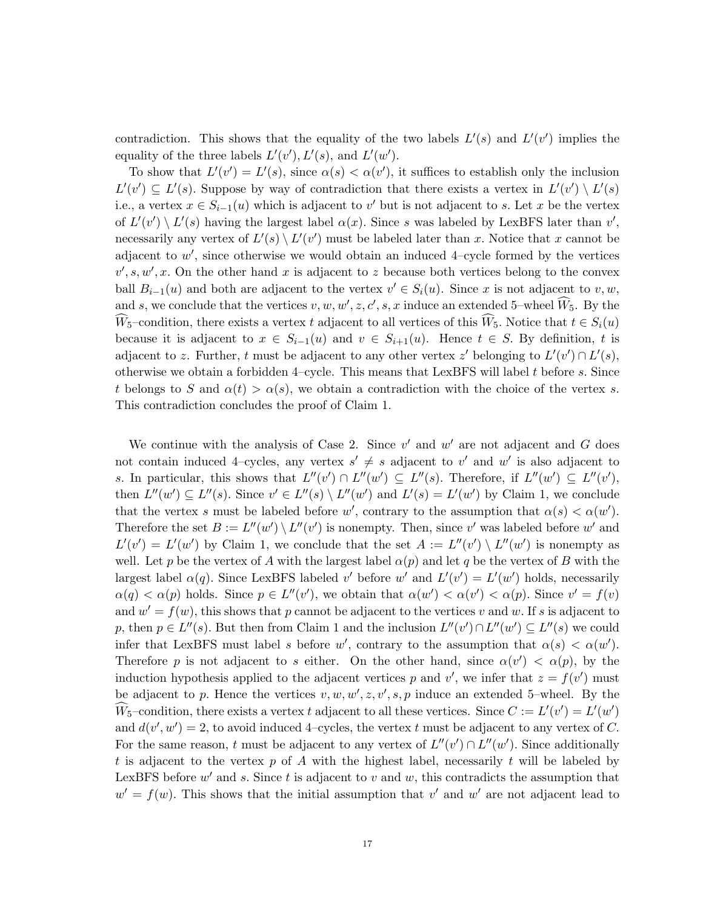contradiction. This shows that the equality of the two labels  $L'(s)$  and  $L'(v')$  implies the equality of the three labels  $L'(v'), L'(s)$ , and  $L'(w')$ .

To show that  $L'(v') = L'(s)$ , since  $\alpha(s) < \alpha(v')$ , it suffices to establish only the inclusion  $L'(v') \subseteq L'(s)$ . Suppose by way of contradiction that there exists a vertex in  $L'(v') \setminus L'(s)$ i.e., a vertex  $x \in S_{i-1}(u)$  which is adjacent to v' but is not adjacent to s. Let x be the vertex of  $L'(v') \setminus L'(s)$  having the largest label  $\alpha(x)$ . Since s was labeled by LexBFS later than v', necessarily any vertex of  $L'(s) \setminus L'(v')$  must be labeled later than x. Notice that x cannot be adjacent to  $w'$ , since otherwise we would obtain an induced 4-cycle formed by the vertices  $v', s, w', x.$  On the other hand x is adjacent to z because both vertices belong to the convex ball  $B_{i-1}(u)$  and both are adjacent to the vertex  $v' \in S_i(u)$ . Since x is not adjacent to v, w, and s, we conclude that the vertices  $v, w, w', z, c', s, x$  induce an extended 5-wheel  $\widehat{W}_5$ . By the  $\widehat{W}_5$ –condition, there exists a vertex t adjacent to all vertices of this  $\widehat{W}_5$ . Notice that  $t \in S_i(u)$ because it is adjacent to  $x \in S_{i-1}(u)$  and  $v \in S_{i+1}(u)$ . Hence  $t \in S$ . By definition, t is adjacent to z. Further, t must be adjacent to any other vertex z' belonging to  $L'(v') \cap L'(s)$ , otherwise we obtain a forbidden 4–cycle. This means that LexBFS will label t before s. Since t belongs to S and  $\alpha(t) > \alpha(s)$ , we obtain a contradiction with the choice of the vertex s. This contradiction concludes the proof of Claim 1.

We continue with the analysis of Case 2. Since  $v'$  and  $w'$  are not adjacent and G does not contain induced 4-cycles, any vertex  $s' \neq s$  adjacent to v' and w' is also adjacent to s. In particular, this shows that  $L''(v') \cap L''(w') \subseteq L''(s)$ . Therefore, if  $L''(w') \subseteq L''(v')$ , then  $L''(w') \subseteq L''(s)$ . Since  $v' \in L''(s) \setminus L''(w')$  and  $L'(s) = L'(w')$  by Claim 1, we conclude that the vertex s must be labeled before w', contrary to the assumption that  $\alpha(s) < \alpha(w')$ . Therefore the set  $B := L''(w') \setminus L''(v')$  is nonempty. Then, since v' was labeled before w' and  $L'(v') = L'(w')$  by Claim 1, we conclude that the set  $A := L''(v') \setminus L''(w')$  is nonempty as well. Let p be the vertex of A with the largest label  $\alpha(p)$  and let q be the vertex of B with the largest label  $\alpha(q)$ . Since LexBFS labeled v' before w' and  $L'(v') = L'(w')$  holds, necessarily  $\alpha(q) < \alpha(p)$  holds. Since  $p \in L''(v')$ , we obtain that  $\alpha(w') < \alpha(v') < \alpha(p)$ . Since  $v' = f(v)$ and  $w' = f(w)$ , this shows that p cannot be adjacent to the vertices v and w. If s is adjacent to p, then  $p \in L''(s)$ . But then from Claim 1 and the inclusion  $L''(v') \cap L''(w') \subseteq L''(s)$  we could infer that LexBFS must label s before w', contrary to the assumption that  $\alpha(s) < \alpha(w')$ . Therefore p is not adjacent to s either. On the other hand, since  $\alpha(v') < \alpha(p)$ , by the induction hypothesis applied to the adjacent vertices p and v', we infer that  $z = f(v')$  must be adjacent to p. Hence the vertices  $v, w, w', z, v', s, p$  induce an extended 5-wheel. By the  $\widehat{W}_5$ -condition, there exists a vertex t adjacent to all these vertices. Since  $C := L'(v') = L'(w')$ and  $d(v', w') = 2$ , to avoid induced 4-cycles, the vertex t must be adjacent to any vertex of C. For the same reason, t must be adjacent to any vertex of  $L''(v') \cap L''(w')$ . Since additionally t is adjacent to the vertex p of A with the highest label, necessarily t will be labeled by LexBFS before  $w'$  and s. Since t is adjacent to v and w, this contradicts the assumption that  $w' = f(w)$ . This shows that the initial assumption that v' and w' are not adjacent lead to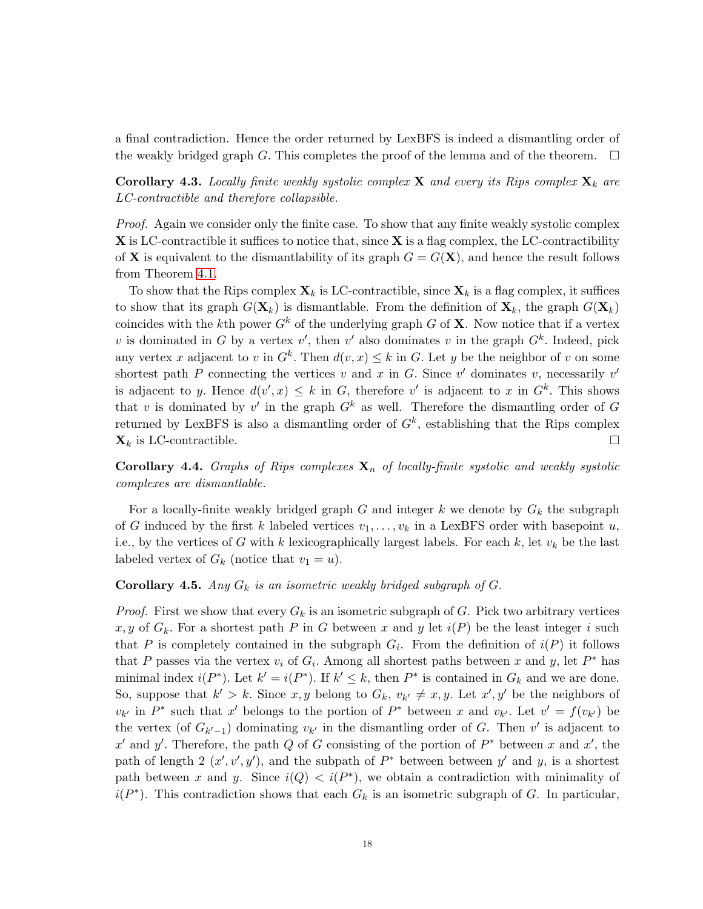a final contradiction. Hence the order returned by LexBFS is indeed a dismantling order of the weakly bridged graph G. This completes the proof of the lemma and of the theorem.  $\Box$ 

**Corollary 4.3.** Locally finite weakly systolic complex **X** and every its Rips complex  $\mathbf{X}_k$  are LC-contractible and therefore collapsible.

Proof. Again we consider only the finite case. To show that any finite weakly systolic complex  $X$  is LC-contractible it suffices to notice that, since  $X$  is a flag complex, the LC-contractibility of **X** is equivalent to the dismantlability of its graph  $G = G(\mathbf{X})$ , and hence the result follows from Theorem [4.1.](#page-14-1)

To show that the Rips complex  $X_k$  is LC-contractible, since  $X_k$  is a flag complex, it suffices to show that its graph  $G(\mathbf{X}_k)$  is dismantlable. From the definition of  $\mathbf{X}_k$ , the graph  $G(\mathbf{X}_k)$ coincides with the kth power  $G^k$  of the underlying graph G of **X**. Now notice that if a vertex v is dominated in G by a vertex v', then v' also dominates v in the graph  $G^k$ . Indeed, pick any vertex x adjacent to v in  $G^k$ . Then  $d(v, x) \leq k$  in G. Let y be the neighbor of v on some shortest path P connecting the vertices v and x in G. Since v' dominates v, necessarily v' is adjacent to y. Hence  $d(v',x) \leq k$  in G, therefore v' is adjacent to x in  $G^k$ . This shows that v is dominated by v' in the graph  $G^k$  as well. Therefore the dismantling order of G returned by LexBFS is also a dismantling order of  $G<sup>k</sup>$ , establishing that the Rips complex  $\mathbf{X}_k$  is LC-contractible.

**Corollary 4.4.** Graphs of Rips complexes  $X_n$  of locally-finite systolic and weakly systolic complexes are dismantlable.

For a locally-finite weakly bridged graph G and integer k we denote by  $G_k$  the subgraph of G induced by the first k labeled vertices  $v_1, \ldots, v_k$  in a LexBFS order with basepoint u, i.e., by the vertices of G with k lexicographically largest labels. For each k, let  $v_k$  be the last labeled vertex of  $G_k$  (notice that  $v_1 = u$ ).

# **Corollary 4.5.** Any  $G_k$  is an isometric weakly bridged subgraph of  $G$ .

*Proof.* First we show that every  $G_k$  is an isometric subgraph of G. Pick two arbitrary vertices x, y of  $G_k$ . For a shortest path P in G between x and y let  $i(P)$  be the least integer i such that P is completely contained in the subgraph  $G_i$ . From the definition of  $i(P)$  it follows that P passes via the vertex  $v_i$  of  $G_i$ . Among all shortest paths between x and y, let  $P^*$  has minimal index  $i(P^*)$ . Let  $k' = i(P^*)$ . If  $k' \leq k$ , then  $P^*$  is contained in  $G_k$  and we are done. So, suppose that  $k' > k$ . Since x, y belong to  $G_k$ ,  $v_{k'} \neq x, y$ . Let  $x', y'$  be the neighbors of  $v_{k'}$  in  $P^*$  such that x' belongs to the portion of  $P^*$  between x and  $v_{k'}$ . Let  $v' = f(v_{k'})$  be the vertex (of  $G_{k'-1}$ ) dominating  $v_{k'}$  in the dismantling order of G. Then v' is adjacent to x' and y'. Therefore, the path Q of G consisting of the portion of  $P^*$  between x and x', the path of length 2  $(x', y', y')$ , and the subpath of  $P^*$  between between y' and y, is a shortest path between x and y. Since  $i(Q) < i(P^*)$ , we obtain a contradiction with minimality of  $i(P^*)$ . This contradiction shows that each  $G_k$  is an isometric subgraph of G. In particular,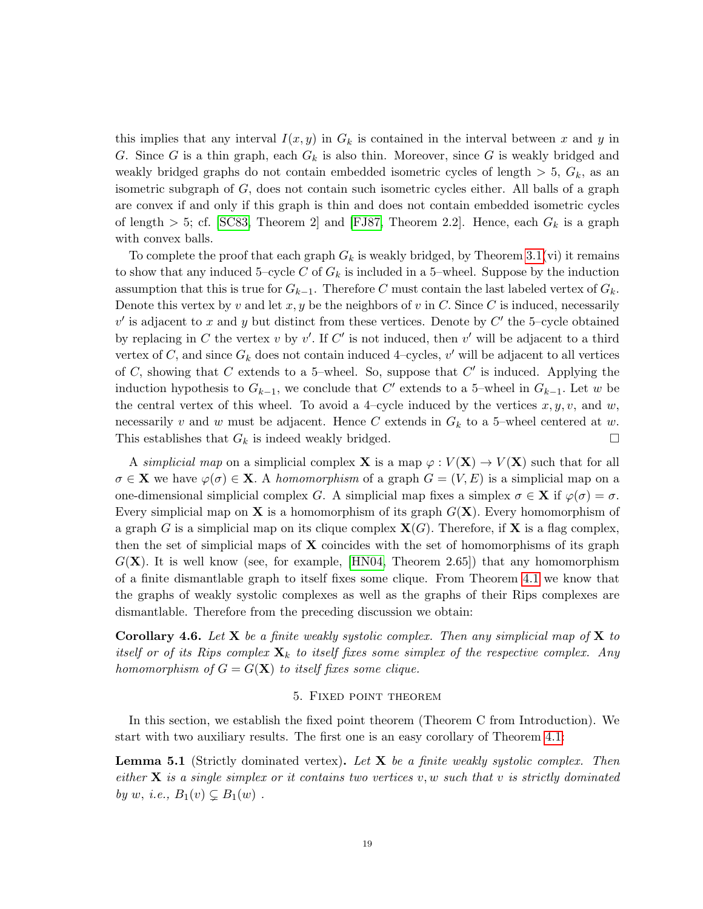this implies that any interval  $I(x, y)$  in  $G_k$  is contained in the interval between x and y in G. Since G is a thin graph, each  $G_k$  is also thin. Moreover, since G is weakly bridged and weakly bridged graphs do not contain embedded isometric cycles of length  $> 5$ ,  $G_k$ , as an isometric subgraph of G, does not contain such isometric cycles either. All balls of a graph are convex if and only if this graph is thin and does not contain embedded isometric cycles of length  $> 5$ ; cf. [\[SC83,](#page-27-1) Theorem 2] and [\[FJ87,](#page-26-3) Theorem 2.2]. Hence, each  $G_k$  is a graph with convex balls.

To complete the proof that each graph  $G_k$  is weakly bridged, by Theorem [3.1\(](#page-7-1)vi) it remains to show that any induced 5–cycle C of  $G_k$  is included in a 5–wheel. Suppose by the induction assumption that this is true for  $G_{k-1}$ . Therefore C must contain the last labeled vertex of  $G_k$ . Denote this vertex by v and let  $x, y$  be the neighbors of v in C. Since C is induced, necessarily  $v'$  is adjacent to x and y but distinct from these vertices. Denote by  $C'$  the 5-cycle obtained by replacing in C the vertex v by  $v'$ . If C' is not induced, then v' will be adjacent to a third vertex of C, and since  $G_k$  does not contain induced 4-cycles, v' will be adjacent to all vertices of  $C$ , showing that  $C$  extends to a 5-wheel. So, suppose that  $C'$  is induced. Applying the induction hypothesis to  $G_{k-1}$ , we conclude that C' extends to a 5-wheel in  $G_{k-1}$ . Let w be the central vertex of this wheel. To avoid a 4-cycle induced by the vertices  $x, y, v$ , and  $w$ , necessarily v and w must be adjacent. Hence C extends in  $G_k$  to a 5-wheel centered at w. This establishes that  $G_k$  is indeed weakly bridged.  $\Box$ 

A simplicial map on a simplicial complex **X** is a map  $\varphi: V(\mathbf{X}) \to V(\mathbf{X})$  such that for all  $\sigma \in \mathbf{X}$  we have  $\varphi(\sigma) \in \mathbf{X}$ . A homomorphism of a graph  $G = (V, E)$  is a simplicial map on a one-dimensional simplicial complex G. A simplicial map fixes a simplex  $\sigma \in \mathbf{X}$  if  $\varphi(\sigma) = \sigma$ . Every simplicial map on **X** is a homomorphism of its graph  $G(\mathbf{X})$ . Every homomorphism of a graph G is a simplicial map on its clique complex  $X(G)$ . Therefore, if X is a flag complex, then the set of simplicial maps of  $X$  coincides with the set of homomorphisms of its graph  $G(X)$ . It is well know (see, for example, [\[HN04,](#page-26-11) Theorem 2.65]) that any homomorphism of a finite dismantlable graph to itself fixes some clique. From Theorem [4.1](#page-14-1) we know that the graphs of weakly systolic complexes as well as the graphs of their Rips complexes are dismantlable. Therefore from the preceding discussion we obtain:

**Corollary 4.6.** Let **X** be a finite weakly systolic complex. Then any simplicial map of **X** to itself or of its Rips complex  $\mathbf{X}_k$  to itself fixes some simplex of the respective complex. Any homomorphism of  $G = G(\mathbf{X})$  to itself fixes some clique.

#### 5. Fixed point theorem

<span id="page-18-0"></span>In this section, we establish the fixed point theorem (Theorem C from Introduction). We start with two auxiliary results. The first one is an easy corollary of Theorem [4.1:](#page-14-1)

<span id="page-18-1"></span>**Lemma 5.1** (Strictly dominated vertex). Let  $X$  be a finite weakly systolic complex. Then either  $X$  is a single simplex or it contains two vertices v, w such that v is strictly dominated by w, i.e.,  $B_1(v) \subsetneq B_1(w)$ .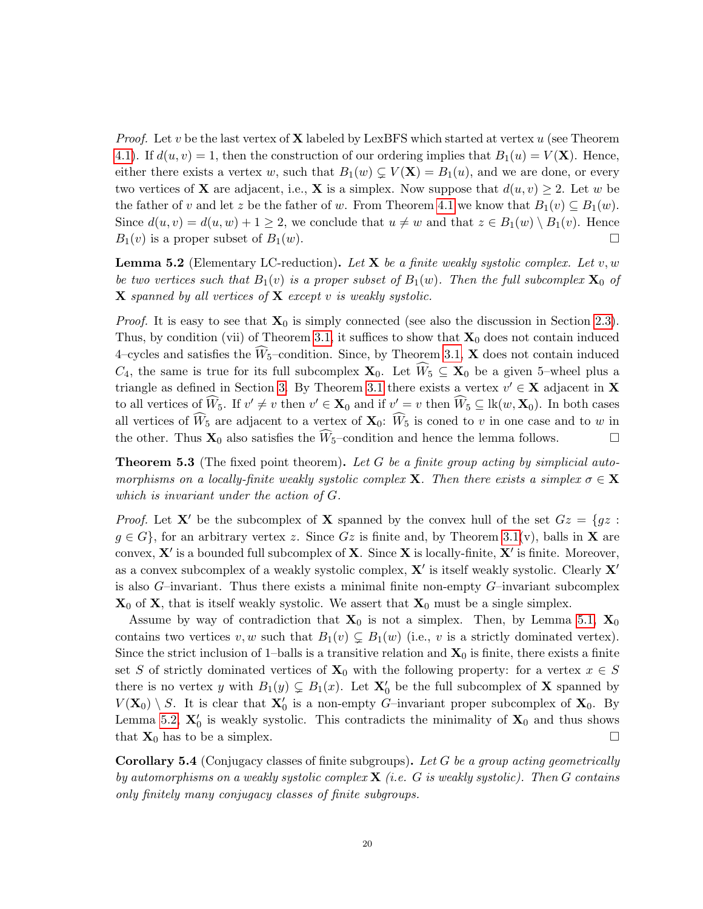*Proof.* Let v be the last vertex of **X** labeled by LexBFS which started at vertex  $u$  (see Theorem [4.1\)](#page-14-1). If  $d(u, v) = 1$ , then the construction of our ordering implies that  $B_1(u) = V(\mathbf{X})$ . Hence, either there exists a vertex w, such that  $B_1(w) \subsetneq V(\mathbf{X}) = B_1(u)$ , and we are done, or every two vertices of **X** are adjacent, i.e., **X** is a simplex. Now suppose that  $d(u, v) \geq 2$ . Let w be the father of v and let z be the father of w. From Theorem [4.1](#page-14-1) we know that  $B_1(v) \subseteq B_1(w)$ . Since  $d(u, v) = d(u, w) + 1 \geq 2$ , we conclude that  $u \neq w$  and that  $z \in B_1(w) \setminus B_1(v)$ . Hence  $B_1(v)$  is a proper subset of  $B_1(w)$ .

<span id="page-19-1"></span>**Lemma 5.2** (Elementary LC-reduction). Let **X** be a finite weakly systolic complex. Let v, w be two vertices such that  $B_1(v)$  is a proper subset of  $B_1(w)$ . Then the full subcomplex  $\mathbf{X}_0$  of  $\bf{X}$  spanned by all vertices of  $\bf{X}$  except v is weakly systolic.

*Proof.* It is easy to see that  $\mathbf{X}_0$  is simply connected (see also the discussion in Section [2.3\)](#page-6-0). Thus, by condition (vii) of Theorem [3.1,](#page-7-1) it suffices to show that  $\mathbf{X}_0$  does not contain induced 4–cycles and satisfies the  $\widehat{W}_5$ –condition. Since, by Theorem [3.1,](#page-7-1) **X** does not contain induced  $C_4$ , the same is true for its full subcomplex  $\mathbf{X}_0$ . Let  $W_5 \subseteq \mathbf{X}_0$  be a given 5–wheel plus a triangle as defined in Section [3.](#page-7-0) By Theorem [3.1](#page-7-1) there exists a vertex  $v' \in \mathbf{X}$  adjacent in **X** to all vertices of  $\widehat{W}_5$ . If  $v' \neq v$  then  $v' \in \mathbf{X}_0$  and if  $v' = v$  then  $\widehat{W}_5 \subseteq \text{lk}(w, \mathbf{X}_0)$ . In both cases all vertices of  $\widehat{W}_5$  are adjacent to a vertex of  $\mathbf{X}_0$ :  $\widehat{W}_5$  is coned to v in one case and to w in the other. Thus  $\mathbf{X}_0$  also satisfies the  $\widehat{W}_5$ -condition and hence the lemma follows. the other. Thus  $\mathbf{X}_0$  also satisfies the  $\widetilde{W}_5$ -condition and hence the lemma follows.

<span id="page-19-2"></span>**Theorem 5.3** (The fixed point theorem). Let G be a finite group acting by simplicial automorphisms on a locally-finite weakly systolic complex **X**. Then there exists a simplex  $\sigma \in \mathbf{X}$ which is invariant under the action of G.

*Proof.* Let **X'** be the subcomplex of **X** spanned by the convex hull of the set  $Gz = \{gz :$  $g \in G$ , for an arbitrary vertex z. Since Gz is finite and, by Theorem [3.1\(](#page-7-1)v), balls in **X** are convex,  $X'$  is a bounded full subcomplex of  $X$ . Since X is locally-finite,  $X'$  is finite. Moreover, as a convex subcomplex of a weakly systolic complex,  $X'$  is itself weakly systolic. Clearly  $X'$ is also  $G$ –invariant. Thus there exists a minimal finite non-empty  $G$ –invariant subcomplex  $\mathbf{X}_0$  of  $\mathbf{X}$ , that is itself weakly systolic. We assert that  $\mathbf{X}_0$  must be a single simplex.

Assume by way of contradiction that  $X_0$  is not a simplex. Then, by Lemma [5.1,](#page-18-1)  $X_0$ contains two vertices  $v, w$  such that  $B_1(v) \subsetneq B_1(w)$  (i.e., v is a strictly dominated vertex). Since the strict inclusion of 1–balls is a transitive relation and  $\mathbf{X}_0$  is finite, there exists a finite set S of strictly dominated vertices of  $X_0$  with the following property: for a vertex  $x \in S$ there is no vertex y with  $B_1(y) \subsetneq B_1(x)$ . Let  $\mathbf{X}'_0$  be the full subcomplex of  $\mathbf X$  spanned by  $V(\mathbf{X}_0) \setminus S$ . It is clear that  $\mathbf{X}'_0$  is a non-empty G-invariant proper subcomplex of  $\mathbf{X}_0$ . By Lemma [5.2,](#page-19-1)  $\mathbf{X}'_0$  is weakly systolic. This contradicts the minimality of  $\mathbf{X}_0$  and thus shows that  $X_0$  has to be a simplex.

<span id="page-19-0"></span>Corollary 5.4 (Conjugacy classes of finite subgroups). Let G be a group acting geometrically by automorphisms on a weakly systolic complex  $\bf{X}$  (i.e. G is weakly systolic). Then G contains only finitely many conjugacy classes of finite subgroups.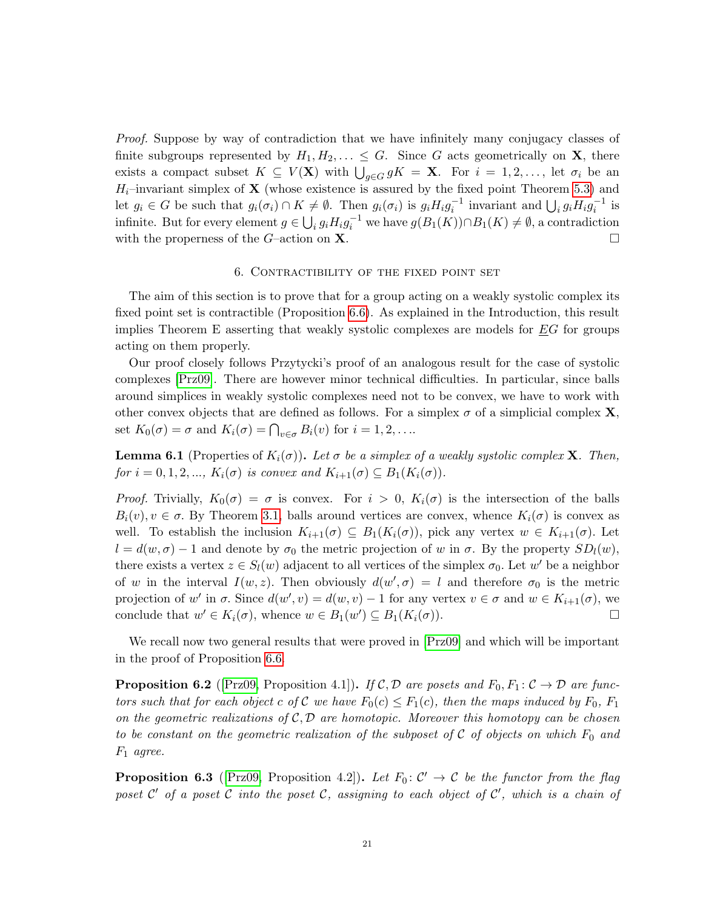Proof. Suppose by way of contradiction that we have infinitely many conjugacy classes of finite subgroups represented by  $H_1, H_2, \ldots \leq G$ . Since G acts geometrically on **X**, there exists a compact subset  $K \subseteq V(\mathbf{X})$  with  $\bigcup_{g \in G} gK = \mathbf{X}$ . For  $i = 1, 2, \ldots$ , let  $\sigma_i$  be an  $H_i$ -invariant simplex of **X** (whose existence is assured by the fixed point Theorem [5.3\)](#page-19-2) and let  $g_i \in G$  be such that  $g_i(\sigma_i) \cap K \neq \emptyset$ . Then  $g_i(\sigma_i)$  is  $g_i H_i g_i^{-1}$  invariant and  $\bigcup_i g_i H_i g_i^{-1}$  is infinite. But for every element  $g \in \bigcup_i g_i H_i g_i^{-1}$  we have  $g(B_1(K)) \cap B_1(K) \neq \emptyset$ , a contradiction with the properness of the G–action on  $X$ .

#### 6. Contractibility of the fixed point set

The aim of this section is to prove that for a group acting on a weakly systolic complex its fixed point set is contractible (Proposition [6.6\)](#page-22-0). As explained in the Introduction, this result implies Theorem E asserting that weakly systolic complexes are models for EG for groups acting on them properly.

Our proof closely follows Przytycki's proof of an analogous result for the case of systolic complexes [\[Prz09\]](#page-27-8). There are however minor technical difficulties. In particular, since balls around simplices in weakly systolic complexes need not to be convex, we have to work with other convex objects that are defined as follows. For a simplex  $\sigma$  of a simplicial complex **X**, set  $K_0(\sigma) = \sigma$  and  $K_i(\sigma) = \bigcap_{v \in \sigma} B_i(v)$  for  $i = 1, 2, \ldots$ 

**Lemma 6.1** (Properties of  $K_i(\sigma)$ ). Let  $\sigma$  be a simplex of a weakly systolic complex **X**. Then, for  $i = 0, 1, 2, \ldots, K_i(\sigma)$  is convex and  $K_{i+1}(\sigma) \subseteq B_1(K_i(\sigma)).$ 

*Proof.* Trivially,  $K_0(\sigma) = \sigma$  is convex. For  $i > 0$ ,  $K_i(\sigma)$  is the intersection of the balls  $B_i(v), v \in \sigma$ . By Theorem [3.1,](#page-7-1) balls around vertices are convex, whence  $K_i(\sigma)$  is convex as well. To establish the inclusion  $K_{i+1}(\sigma) \subseteq B_1(K_i(\sigma))$ , pick any vertex  $w \in K_{i+1}(\sigma)$ . Let  $l = d(w, \sigma) - 1$  and denote by  $\sigma_0$  the metric projection of w in  $\sigma$ . By the property  $SD_l(w)$ , there exists a vertex  $z \in S_l(w)$  adjacent to all vertices of the simplex  $\sigma_0$ . Let w' be a neighbor of w in the interval  $I(w, z)$ . Then obviously  $d(w', \sigma) = l$  and therefore  $\sigma_0$  is the metric projection of w' in  $\sigma$ . Since  $d(w', v) = d(w, v) - 1$  for any vertex  $v \in \sigma$  and  $w \in K_{i+1}(\sigma)$ , we conclude that  $w' \in K_i(\sigma)$ , whence  $w \in B_1(w') \subseteq B_1(K_i(\sigma))$ .

We recall now two general results that were proved in  $[Prz09]$  and which will be important in the proof of Proposition [6.6.](#page-22-0)

<span id="page-20-0"></span>**Proposition 6.2** ([\[Prz09,](#page-27-8) Proposition 4.1]). If C, D are posets and  $F_0, F_1: \mathcal{C} \to \mathcal{D}$  are functors such that for each object c of C we have  $F_0(c) \leq F_1(c)$ , then the maps induced by  $F_0$ ,  $F_1$ on the geometric realizations of  $C, D$  are homotopic. Moreover this homotopy can be chosen to be constant on the geometric realization of the subposet of C of objects on which  $F_0$  and  $F_1$  agree.

<span id="page-20-1"></span>**Proposition 6.3** ([\[Prz09,](#page-27-8) Proposition 4.2]). Let  $F_0: \mathcal{C}' \to \mathcal{C}$  be the functor from the flag poset  $\mathcal{C}'$  of a poset  $\mathcal C$  into the poset  $\mathcal C$ , assigning to each object of  $\mathcal C'$ , which is a chain of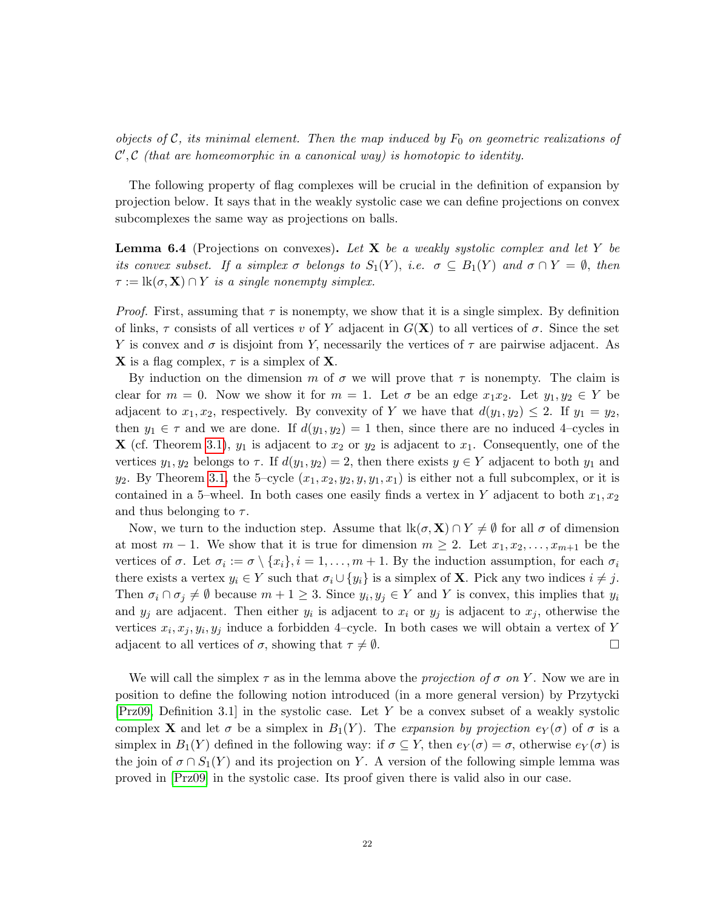objects of C, its minimal element. Then the map induced by  $F_0$  on geometric realizations of  $\mathcal{C}', \mathcal{C}'$  (that are homeomorphic in a canonical way) is homotopic to identity.

The following property of flag complexes will be crucial in the definition of expansion by projection below. It says that in the weakly systolic case we can define projections on convex subcomplexes the same way as projections on balls.

**Lemma 6.4** (Projections on convexes). Let **X** be a weakly systolic complex and let Y be its convex subset. If a simplex  $\sigma$  belongs to  $S_1(Y)$ , i.e.  $\sigma \subseteq B_1(Y)$  and  $\sigma \cap Y = \emptyset$ , then  $\tau := \text{lk}(\sigma, \mathbf{X}) \cap Y$  is a single nonempty simplex.

*Proof.* First, assuming that  $\tau$  is nonempty, we show that it is a single simplex. By definition of links,  $\tau$  consists of all vertices v of Y adjacent in  $G(\mathbf{X})$  to all vertices of  $\sigma$ . Since the set Y is convex and  $\sigma$  is disjoint from Y, necessarily the vertices of  $\tau$  are pairwise adjacent. As **X** is a flag complex,  $\tau$  is a simplex of **X**.

By induction on the dimension m of  $\sigma$  we will prove that  $\tau$  is nonempty. The claim is clear for  $m = 0$ . Now we show it for  $m = 1$ . Let  $\sigma$  be an edge  $x_1x_2$ . Let  $y_1, y_2 \in Y$  be adjacent to  $x_1, x_2$ , respectively. By convexity of Y we have that  $d(y_1, y_2) \leq 2$ . If  $y_1 = y_2$ , then  $y_1 \in \tau$  and we are done. If  $d(y_1, y_2) = 1$  then, since there are no induced 4-cycles in **X** (cf. Theorem [3.1\)](#page-7-1),  $y_1$  is adjacent to  $x_2$  or  $y_2$  is adjacent to  $x_1$ . Consequently, one of the vertices  $y_1, y_2$  belongs to  $\tau$ . If  $d(y_1, y_2) = 2$ , then there exists  $y \in Y$  adjacent to both  $y_1$  and  $y_2$ . By Theorem [3.1,](#page-7-1) the 5-cycle  $(x_1, x_2, y_2, y, y_1, x_1)$  is either not a full subcomplex, or it is contained in a 5–wheel. In both cases one easily finds a vertex in Y adjacent to both  $x_1, x_2$ and thus belonging to  $\tau$ .

Now, we turn to the induction step. Assume that  $lk(\sigma, \mathbf{X}) \cap Y \neq \emptyset$  for all  $\sigma$  of dimension at most  $m-1$ . We show that it is true for dimension  $m \geq 2$ . Let  $x_1, x_2, \ldots, x_{m+1}$  be the vertices of  $\sigma$ . Let  $\sigma_i := \sigma \setminus \{x_i\}, i = 1, \ldots, m + 1$ . By the induction assumption, for each  $\sigma_i$ there exists a vertex  $y_i \in Y$  such that  $\sigma_i \cup \{y_i\}$  is a simplex of **X**. Pick any two indices  $i \neq j$ . Then  $\sigma_i \cap \sigma_j \neq \emptyset$  because  $m + 1 \geq 3$ . Since  $y_i, y_j \in Y$  and Y is convex, this implies that  $y_i$ and  $y_j$  are adjacent. Then either  $y_i$  is adjacent to  $x_i$  or  $y_j$  is adjacent to  $x_j$ , otherwise the vertices  $x_i, x_j, y_i, y_j$  induce a forbidden 4-cycle. In both cases we will obtain a vertex of Y adjacent to all vertices of  $\sigma$ , showing that  $\tau \neq \emptyset$ .

We will call the simplex  $\tau$  as in the lemma above the *projection of*  $\sigma$  on Y. Now we are in position to define the following notion introduced (in a more general version) by Przytycki [\[Prz09,](#page-27-8) Definition 3.1] in the systolic case. Let Y be a convex subset of a weakly systolic complex **X** and let  $\sigma$  be a simplex in  $B_1(Y)$ . The expansion by projection  $e_Y(\sigma)$  of  $\sigma$  is a simplex in  $B_1(Y)$  defined in the following way: if  $\sigma \subseteq Y$ , then  $e_Y(\sigma) = \sigma$ , otherwise  $e_Y(\sigma)$  is the join of  $\sigma \cap S_1(Y)$  and its projection on Y. A version of the following simple lemma was proved in [\[Prz09\]](#page-27-8) in the systolic case. Its proof given there is valid also in our case.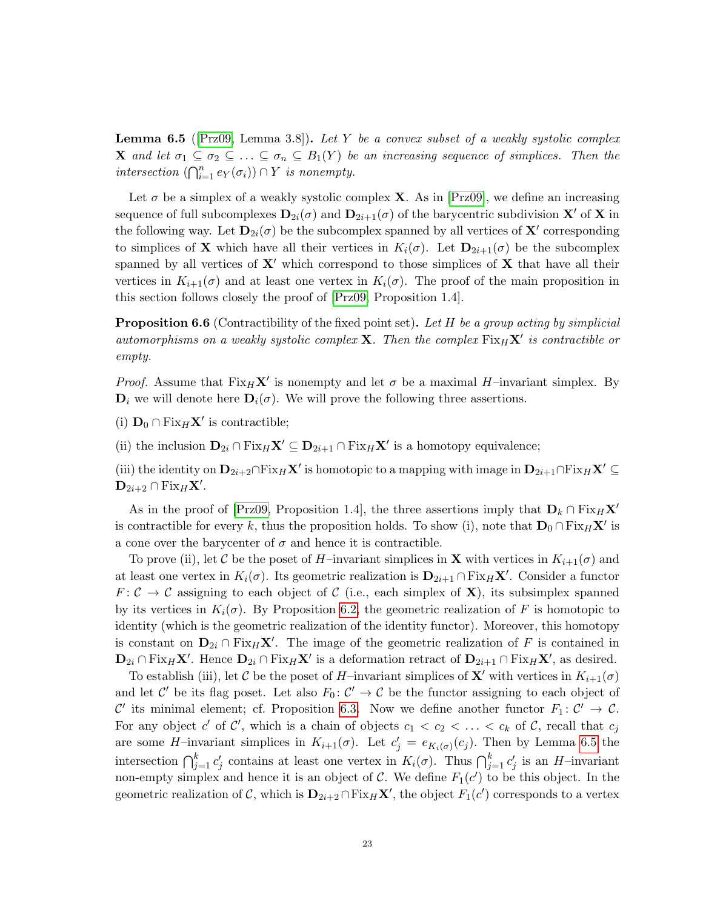<span id="page-22-1"></span>**Lemma 6.5** ( $[Prz09, \text{ Lemma 3.8}].$  $[Prz09, \text{ Lemma 3.8}].$  Let Y be a convex subset of a weakly systolic complex **X** and let  $\sigma_1 \subseteq \sigma_2 \subseteq \ldots \subseteq \sigma_n \subseteq B_1(Y)$  be an increasing sequence of simplices. Then the intersection  $(\bigcap_{i=1}^n e_Y(\sigma_i)) \cap Y$  is nonempty.

Let  $\sigma$  be a simplex of a weakly systolic complex **X**. As in [\[Prz09\]](#page-27-8), we define an increasing sequence of full subcomplexes  $D_{2i}(\sigma)$  and  $D_{2i+1}(\sigma)$  of the barycentric subdivision X' of X in the following way. Let  $\mathbf{D}_{2i}(\sigma)$  be the subcomplex spanned by all vertices of  $\mathbf{X}'$  corresponding to simplices of **X** which have all their vertices in  $K_i(\sigma)$ . Let  $\mathbf{D}_{2i+1}(\sigma)$  be the subcomplex spanned by all vertices of  $X'$  which correspond to those simplices of  $X$  that have all their vertices in  $K_{i+1}(\sigma)$  and at least one vertex in  $K_i(\sigma)$ . The proof of the main proposition in this section follows closely the proof of [\[Prz09,](#page-27-8) Proposition 1.4].

<span id="page-22-0"></span>**Proposition 6.6** (Contractibility of the fixed point set). Let H be a group acting by simplicial automorphisms on a weakly systolic complex **X**. Then the complex  $Fix_H X'$  is contractible or empty.

*Proof.* Assume that  $Fix_H X'$  is nonempty and let  $\sigma$  be a maximal H–invariant simplex. By  $D_i$  we will denote here  $D_i(\sigma)$ . We will prove the following three assertions.

(i)  $\mathbf{D}_0 \cap \text{Fix}_H \mathbf{X}'$  is contractible;

(ii) the inclusion  $\mathbf{D}_{2i} \cap \text{Fix}_H \mathbf{X}' \subseteq \mathbf{D}_{2i+1} \cap \text{Fix}_H \mathbf{X}'$  is a homotopy equivalence;

(iii) the identity on  $D_{2i+2} \cap Fix_H X'$  is homotopic to a mapping with image in  $D_{2i+1} \cap Fix_H X' \subseteq$  $\mathbf{D}_{2i+2} \cap \mathrm{Fix}_H \mathbf{X}'.$ 

As in the proof of [\[Prz09,](#page-27-8) Proposition 1.4], the three assertions imply that  $\mathbf{D}_k \cap \text{Fix}_H \mathbf{X}'$ is contractible for every k, thus the proposition holds. To show (i), note that  $\mathbf{D}_0 \cap \text{Fix}_H \mathbf{X}'$  is a cone over the barycenter of  $\sigma$  and hence it is contractible.

To prove (ii), let C be the poset of H–invariant simplices in **X** with vertices in  $K_{i+1}(\sigma)$  and at least one vertex in  $K_i(\sigma)$ . Its geometric realization is  $\mathbf{D}_{2i+1} \cap \text{Fix}_H \mathbf{X}'$ . Consider a functor  $F: \mathcal{C} \to \mathcal{C}$  assigning to each object of  $\mathcal{C}$  (i.e., each simplex of **X**), its subsimplex spanned by its vertices in  $K_i(\sigma)$ . By Proposition [6.2,](#page-20-0) the geometric realization of F is homotopic to identity (which is the geometric realization of the identity functor). Moreover, this homotopy is constant on  $\mathbf{D}_{2i} \cap \text{Fix}_H \mathbf{X}'$ . The image of the geometric realization of F is contained in  $\mathbf{D}_{2i} \cap \text{Fix}_H \mathbf{X}'$ . Hence  $\mathbf{D}_{2i} \cap \text{Fix}_H \mathbf{X}'$  is a deformation retract of  $\mathbf{D}_{2i+1} \cap \text{Fix}_H \mathbf{X}'$ , as desired.

To establish (iii), let C be the poset of H–invariant simplices of  $X'$  with vertices in  $K_{i+1}(\sigma)$ and let C' be its flag poset. Let also  $F_0: C' \to C$  be the functor assigning to each object of C' its minimal element; cf. Proposition [6.3.](#page-20-1) Now we define another functor  $F_1: \mathcal{C}' \to \mathcal{C}$ . For any object c' of C', which is a chain of objects  $c_1 < c_2 < \ldots < c_k$  of C, recall that  $c_j$ are some H-invariant simplices in  $K_{i+1}(\sigma)$ . Let  $c'_{j} = e_{K_{i}(\sigma)}(c_{j})$ . Then by Lemma [6.5](#page-22-1) the intersection  $\bigcap_{j=1}^k c'_j$  contains at least one vertex in  $K_i(\sigma)$ . Thus  $\bigcap_{j=1}^k c'_j$  is an H-invariant non-empty simplex and hence it is an object of C. We define  $F_1(c')$  to be this object. In the geometric realization of C, which is  $\mathbf{D}_{2i+2} \cap \text{Fix}_H \mathbf{X}'$ , the object  $F_1(c')$  corresponds to a vertex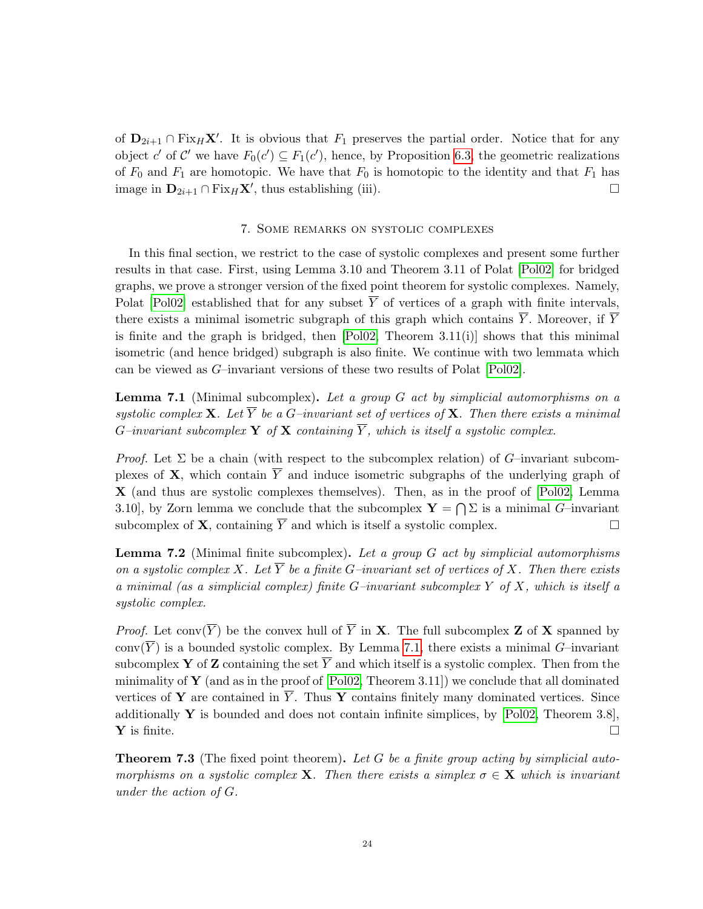of  $D_{2i+1} \cap Fix_H X'$ . It is obvious that  $F_1$  preserves the partial order. Notice that for any object c' of C' we have  $F_0(c') \subseteq F_1(c')$ , hence, by Proposition [6.3,](#page-20-1) the geometric realizations of  $F_0$  and  $F_1$  are homotopic. We have that  $F_0$  is homotopic to the identity and that  $F_1$  has image in  $\mathbf{D}_{2i+1} \cap \text{Fix}_H \mathbf{X}'$ , thus establishing (iii).

### 7. Some remarks on systolic complexes

<span id="page-23-0"></span>In this final section, we restrict to the case of systolic complexes and present some further results in that case. First, using Lemma 3.10 and Theorem 3.11 of Polat [\[Pol02\]](#page-27-2) for bridged graphs, we prove a stronger version of the fixed point theorem for systolic complexes. Namely, Polat [\[Pol02\]](#page-27-2) established that for any subset  $\overline{Y}$  of vertices of a graph with finite intervals, there exists a minimal isometric subgraph of this graph which contains  $\overline{Y}$ . Moreover, if  $\overline{Y}$ is finite and the graph is bridged, then  $[Pol02, Theorem 3.11(i)]$  $[Pol02, Theorem 3.11(i)]$  shows that this minimal isometric (and hence bridged) subgraph is also finite. We continue with two lemmata which can be viewed as G–invariant versions of these two results of Polat [\[Pol02\]](#page-27-2).

<span id="page-23-1"></span>**Lemma 7.1** (Minimal subcomplex). Let a group  $G$  act by simplicial automorphisms on a systolic complex **X**. Let  $\overline{Y}$  be a G-invariant set of vertices of **X**. Then there exists a minimal G–invariant subcomplex **Y** of **X** containing  $\overline{Y}$ , which is itself a systolic complex.

*Proof.* Let  $\Sigma$  be a chain (with respect to the subcomplex relation) of G–invariant subcomplexes of **X**, which contain  $\overline{Y}$  and induce isometric subgraphs of the underlying graph of X (and thus are systolic complexes themselves). Then, as in the proof of [\[Pol02,](#page-27-2) Lemma 3.10, by Zorn lemma we conclude that the subcomplex  $\mathbf{Y} = \bigcap \Sigma$  is a minimal G-invariant subcomplex of **X**, containing  $\overline{Y}$  and which is itself a systolic complex.

<span id="page-23-2"></span>**Lemma 7.2** (Minimal finite subcomplex). Let a group  $G$  act by simplicial automorphisms on a systolic complex X. Let  $\overline{Y}$  be a finite G-invariant set of vertices of X. Then there exists a minimal (as a simplicial complex) finite  $G$ -invariant subcomplex Y of X, which is itself a systolic complex.

*Proof.* Let conv $(\overline{Y})$  be the convex hull of  $\overline{Y}$  in **X**. The full subcomplex **Z** of **X** spanned by conv $(\overline{Y})$  is a bounded systolic complex. By Lemma [7.1,](#page-23-1) there exists a minimal G-invariant subcomplex Y of Z containing the set  $\overline{Y}$  and which itself is a systolic complex. Then from the minimality of **Y** (and as in the proof of  $[Pol02, Theorem 3.11]$  $[Pol02, Theorem 3.11]$ ) we conclude that all dominated vertices of Y are contained in  $\overline{Y}$ . Thus Y contains finitely many dominated vertices. Since additionally  $\mathbf{Y}$  is bounded and does not contain infinite simplices, by [\[Pol02,](#page-27-2) Theorem 3.8], **Y** is finite.

<span id="page-23-3"></span>**Theorem 7.3** (The fixed point theorem). Let G be a finite group acting by simplicial automorphisms on a systolic complex **X**. Then there exists a simplex  $\sigma \in \mathbf{X}$  which is invariant under the action of G.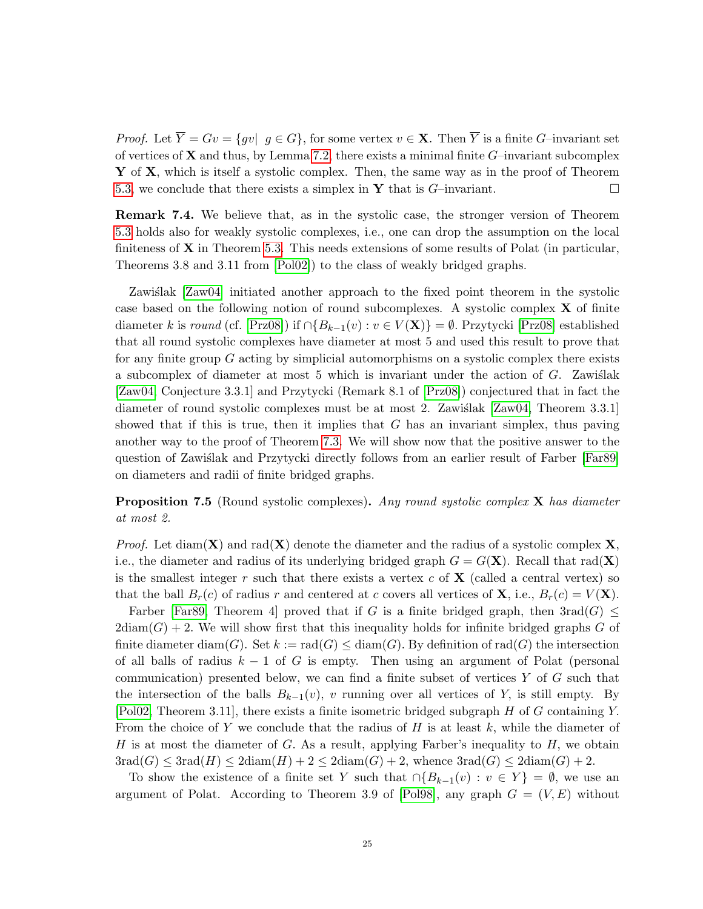*Proof.* Let  $\overline{Y} = Gv = \{gv | g \in G\}$ , for some vertex  $v \in \mathbf{X}$ . Then  $\overline{Y}$  is a finite G–invariant set of vertices of  $X$  and thus, by Lemma [7.2,](#page-23-2) there exists a minimal finite  $G$ –invariant subcomplex Y of X, which is itself a systolic complex. Then, the same way as in the proof of Theorem [5.3,](#page-19-2) we conclude that there exists a simplex in **Y** that is  $G$ -invariant.

Remark 7.4. We believe that, as in the systolic case, the stronger version of Theorem [5.3](#page-19-2) holds also for weakly systolic complexes, i.e., one can drop the assumption on the local finiteness of  $X$  in Theorem [5.3.](#page-19-2) This needs extensions of some results of Polat (in particular, Theorems 3.8 and 3.11 from [\[Pol02\]](#page-27-2)) to the class of weakly bridged graphs.

Zawiślak  $[Zaw04]$  initiated another approach to the fixed point theorem in the systolic case based on the following notion of round subcomplexes. A systolic complex X of finite diameter k is round (cf. [\[Prz08\]](#page-27-7)) if  $\bigcap B_{k-1}(v) : v \in V(\mathbf{X})\} = \emptyset$ . Przytycki [Prz08] established that all round systolic complexes have diameter at most 5 and used this result to prove that for any finite group  $G$  acting by simplicial automorphisms on a systolic complex there exists a subcomplex of diameter at most 5 which is invariant under the action of  $G$ . Zawislak [\[Zaw04,](#page-28-0) Conjecture 3.3.1] and Przytycki (Remark 8.1 of [\[Prz08\]](#page-27-7)) conjectured that in fact the diameter of round systolic complexes must be at most 2. Zawislak  $[Zaw04,$  Theorem 3.3.1] showed that if this is true, then it implies that  $G$  has an invariant simplex, thus paving another way to the proof of Theorem [7.3.](#page-23-3) We will show now that the positive answer to the question of Zawiślak and Przytycki directly follows from an earlier result of Farber [\[Far89\]](#page-26-15) on diameters and radii of finite bridged graphs.

<span id="page-24-0"></span>**Proposition 7.5** (Round systolic complexes). Any round systolic complex  $X$  has diameter at most 2.

*Proof.* Let diam( $X$ ) and rad( $X$ ) denote the diameter and the radius of a systolic complex  $X$ , i.e., the diameter and radius of its underlying bridged graph  $G = G(\mathbf{X})$ . Recall that rad $(\mathbf{X})$ is the smallest integer r such that there exists a vertex c of  $X$  (called a central vertex) so that the ball  $B_r(c)$  of radius r and centered at c covers all vertices of **X**, i.e.,  $B_r(c) = V(\mathbf{X})$ .

Farber [\[Far89,](#page-26-15) Theorem 4] proved that if G is a finite bridged graph, then  $3rad(G) \leq$  $2\text{diam}(G) + 2$ . We will show first that this inequality holds for infinite bridged graphs G of finite diameter diam(G). Set  $k := \text{rad}(G) \leq \text{diam}(G)$ . By definition of rad(G) the intersection of all balls of radius  $k - 1$  of G is empty. Then using an argument of Polat (personal communication) presented below, we can find a finite subset of vertices  $Y$  of  $G$  such that the intersection of the balls  $B_{k-1}(v)$ , v running over all vertices of Y, is still empty. By [\[Pol02,](#page-27-2) Theorem 3.11], there exists a finite isometric bridged subgraph H of G containing Y. From the choice of Y we conclude that the radius of H is at least  $k$ , while the diameter of H is at most the diameter of G. As a result, applying Farber's inequality to  $H$ , we obtain  $3rad(G) \leq 3rad(H) \leq 2diam(H) + 2 \leq 2diam(G) + 2$ , whence  $3rad(G) \leq 2diam(G) + 2$ .

To show the existence of a finite set Y such that  $\cap {B_{k-1}(v) : v \in Y} = \emptyset$ , we use an argument of Polat. According to Theorem 3.9 of [\[Pol98\]](#page-27-19), any graph  $G = (V, E)$  without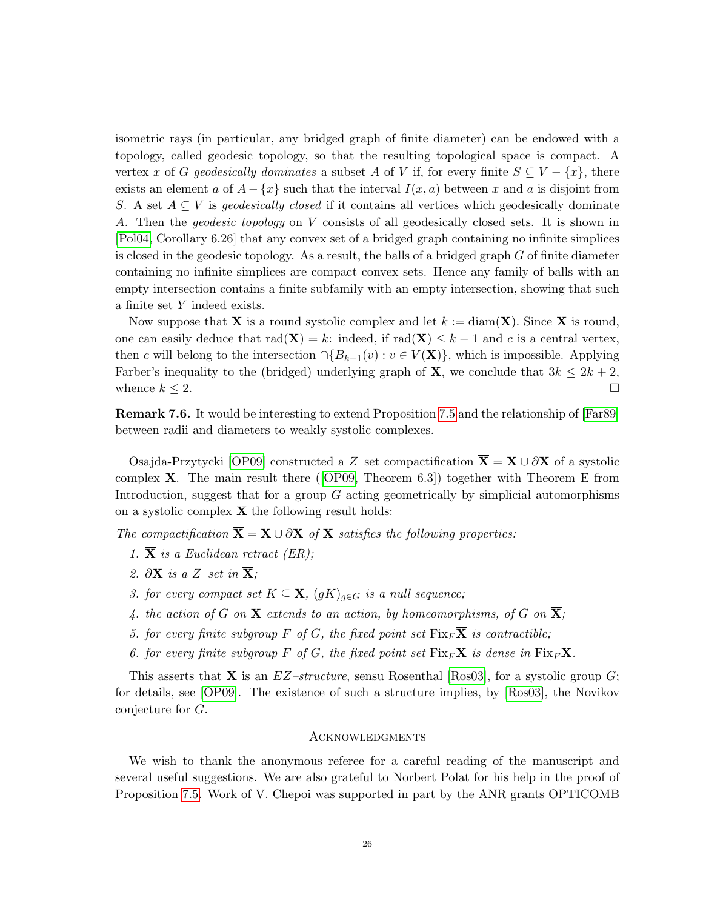isometric rays (in particular, any bridged graph of finite diameter) can be endowed with a topology, called geodesic topology, so that the resulting topological space is compact. A vertex x of G geodesically dominates a subset A of V if, for every finite  $S \subseteq V - \{x\}$ , there exists an element a of  $A - \{x\}$  such that the interval  $I(x, a)$  between x and a is disjoint from S. A set  $A \subseteq V$  is *geodesically closed* if it contains all vertices which geodesically dominate A. Then the geodesic topology on V consists of all geodesically closed sets. It is shown in [\[Pol04,](#page-27-20) Corollary 6.26] that any convex set of a bridged graph containing no infinite simplices is closed in the geodesic topology. As a result, the balls of a bridged graph  $G$  of finite diameter containing no infinite simplices are compact convex sets. Hence any family of balls with an empty intersection contains a finite subfamily with an empty intersection, showing that such a finite set Y indeed exists.

Now suppose that **X** is a round systolic complex and let  $k := \text{diam}(\mathbf{X})$ . Since **X** is round, one can easily deduce that  $rad(\mathbf{X}) = k$ : indeed, if  $rad(\mathbf{X}) \leq k - 1$  and c is a central vertex, then c will belong to the intersection  $\cap {B_{k-1}(v) : v \in V(\mathbf{X})}$ , which is impossible. Applying Farber's inequality to the (bridged) underlying graph of **X**, we conclude that  $3k \leq 2k + 2$ , whence  $k \leq 2$ .

Remark 7.6. It would be interesting to extend Proposition [7.5](#page-24-0) and the relationship of [\[Far89\]](#page-26-15) between radii and diameters to weakly systolic complexes.

Osajda-Przytycki [\[OP09\]](#page-27-6) constructed a Z–set compactification  $\overline{\mathbf{X}} = \mathbf{X} \cup \partial \mathbf{X}$  of a systolic complex  $X$ . The main result there ([\[OP09,](#page-27-6) Theorem 6.3]) together with Theorem E from Introduction, suggest that for a group G acting geometrically by simplicial automorphisms on a systolic complex  $X$  the following result holds:

The compactification  $\overline{\mathbf{X}} = \mathbf{X} \cup \partial \mathbf{X}$  of  $\mathbf{X}$  satisfies the following properties:

- 1.  $\overline{X}$  is a Euclidean retract (ER);
- 2.  $\partial \mathbf{X}$  is a Z–set in  $\overline{\mathbf{X}}$ ;
- 3. for every compact set  $K \subseteq \mathbf{X}$ ,  $(gK)_{g \in G}$  is a null sequence;
- 4. the action of G on **X** extends to an action, by homeomorphisms, of G on  $\overline{X}$ ;
- 5. for every finite subgroup F of G, the fixed point set  $\text{Fix}_{F}\overline{\mathbf{X}}$  is contractible;
- 6. for every finite subgroup F of G, the fixed point set  $\text{Fix}_F\mathbf{X}$  is dense in  $\text{Fix}_F\overline{\mathbf{X}}$ .

This asserts that  $\overline{X}$  is an  $EZ-structure$ , sensu Rosenthal [\[Ros03\]](#page-27-21), for a systolic group G; for details, see [\[OP09\]](#page-27-6). The existence of such a structure implies, by [\[Ros03\]](#page-27-21), the Novikov conjecture for G.

# **ACKNOWLEDGMENTS**

We wish to thank the anonymous referee for a careful reading of the manuscript and several useful suggestions. We are also grateful to Norbert Polat for his help in the proof of Proposition [7.5.](#page-24-0) Work of V. Chepoi was supported in part by the ANR grants OPTICOMB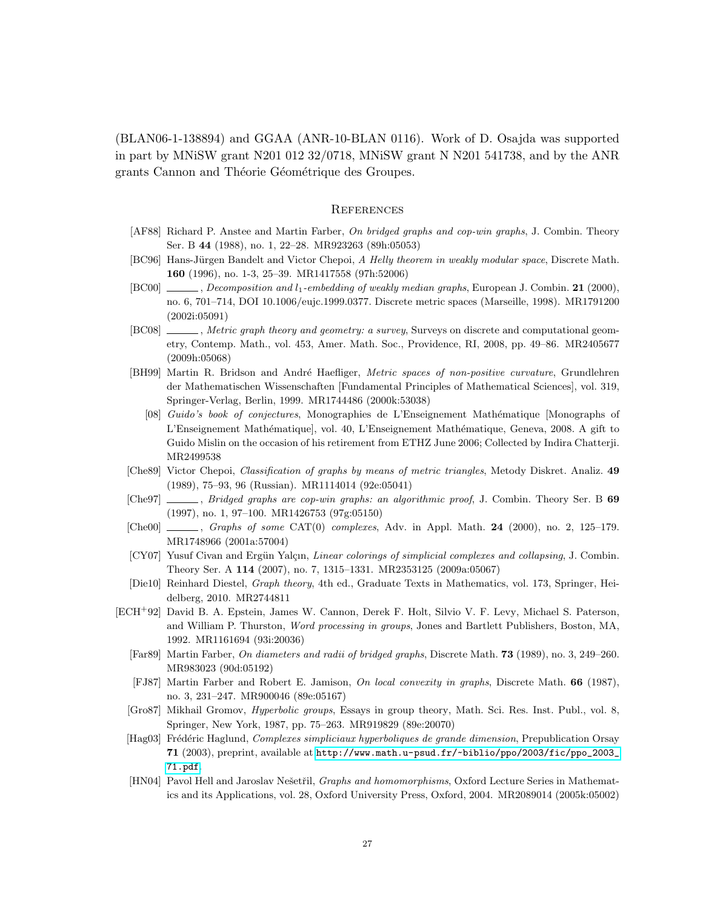(BLAN06-1-138894) and GGAA (ANR-10-BLAN 0116). Work of D. Osajda was supported in part by MNiSW grant N201 012 32/0718, MNiSW grant N N201 541738, and by the ANR grants Cannon and Théorie Géométrique des Groupes.

### **REFERENCES**

- <span id="page-26-4"></span>[AF88] Richard P. Anstee and Martin Farber, On bridged graphs and cop-win graphs, J. Combin. Theory Ser. B 44 (1988), no. 1, 22–28. MR923263 (89h:05053)
- <span id="page-26-5"></span>[BC96] Hans-Jürgen Bandelt and Victor Chepoi, A Helly theorem in weakly modular space, Discrete Math. 160 (1996), no. 1-3, 25–39. MR1417558 (97h:52006)
- <span id="page-26-14"></span>[BC00] , Decomposition and l<sub>1</sub>-embedding of weakly median graphs, European J. Combin. 21 (2000), no. 6, 701–714, DOI 10.1006/eujc.1999.0377. Discrete metric spaces (Marseille, 1998). MR1791200 (2002i:05091)
- <span id="page-26-2"></span>[BC08]  $\_\_\_\_\_\$ , Metric graph theory and geometry: a survey, Surveys on discrete and computational geometry, Contemp. Math., vol. 453, Amer. Math. Soc., Providence, RI, 2008, pp. 49–86. MR2405677 (2009h:05068)
- <span id="page-26-9"></span><span id="page-26-8"></span>[BH99] Martin R. Bridson and André Haefliger, Metric spaces of non-positive curvature, Grundlehren der Mathematischen Wissenschaften [Fundamental Principles of Mathematical Sciences], vol. 319, Springer-Verlag, Berlin, 1999. MR1744486 (2000k:53038)
	- [08] Guido's book of conjectures, Monographies de L'Enseignement Mathématique [Monographs of L'Enseignement Mathématique], vol. 40, L'Enseignement Mathématique, Geneva, 2008. A gift to Guido Mislin on the occasion of his retirement from ETHZ June 2006; Collected by Indira Chatterji. MR2499538
- <span id="page-26-13"></span>[Che89] Victor Chepoi, Classification of graphs by means of metric triangles, Metody Diskret. Analiz. 49 (1989), 75–93, 96 (Russian). MR1114014 (92e:05041)
- <span id="page-26-6"></span>[Che97] , Bridged graphs are cop-win graphs: an algorithmic proof, J. Combin. Theory Ser. B 69 (1997), no. 1, 97–100. MR1426753 (97g:05150)
- <span id="page-26-1"></span>[Che00] , Graphs of some CAT(0) complexes, Adv. in Appl. Math. 24 (2000), no. 2, 125–179. MR1748966 (2001a:57004)
- <span id="page-26-12"></span>[CY07] Yusuf Civan and Ergün Yalçın, Linear colorings of simplicial complexes and collapsing, J. Combin. Theory Ser. A 114 (2007), no. 7, 1315–1331. MR2353125 (2009a:05067)
- <span id="page-26-10"></span>[Die10] Reinhard Diestel, Graph theory, 4th ed., Graduate Texts in Mathematics, vol. 173, Springer, Heidelberg, 2010. MR2744811
- <span id="page-26-15"></span><span id="page-26-11"></span><span id="page-26-7"></span><span id="page-26-3"></span><span id="page-26-0"></span>[ECH<sup>+</sup>92] David B. A. Epstein, James W. Cannon, Derek F. Holt, Silvio V. F. Levy, Michael S. Paterson, and William P. Thurston, Word processing in groups, Jones and Bartlett Publishers, Boston, MA, 1992. MR1161694 (93i:20036)
	- [Far89] Martin Farber, On diameters and radii of bridged graphs, Discrete Math. 73 (1989), no. 3, 249–260. MR983023 (90d:05192)
	- [FJ87] Martin Farber and Robert E. Jamison, On local convexity in graphs, Discrete Math. 66 (1987), no. 3, 231–247. MR900046 (89e:05167)
	- [Gro87] Mikhail Gromov, Hyperbolic groups, Essays in group theory, Math. Sci. Res. Inst. Publ., vol. 8, Springer, New York, 1987, pp. 75–263. MR919829 (89e:20070)
	- [Hag03] Frédéric Haglund, Complexes simpliciaux hyperboliques de grande dimension, Prepublication Orsay 71 (2003), preprint, available at [http://www.math.u-psud.fr/~biblio/ppo/2003/fic/ppo\\_2003\\_](http://www.math.u-psud.fr/~biblio/ppo/2003/fic/ppo_2003_71.pdf) [71.pdf](http://www.math.u-psud.fr/~biblio/ppo/2003/fic/ppo_2003_71.pdf).
	- [HN04] Pavol Hell and Jaroslav Nešetřil, Graphs and homomorphisms, Oxford Lecture Series in Mathematics and its Applications, vol. 28, Oxford University Press, Oxford, 2004. MR2089014 (2005k:05002)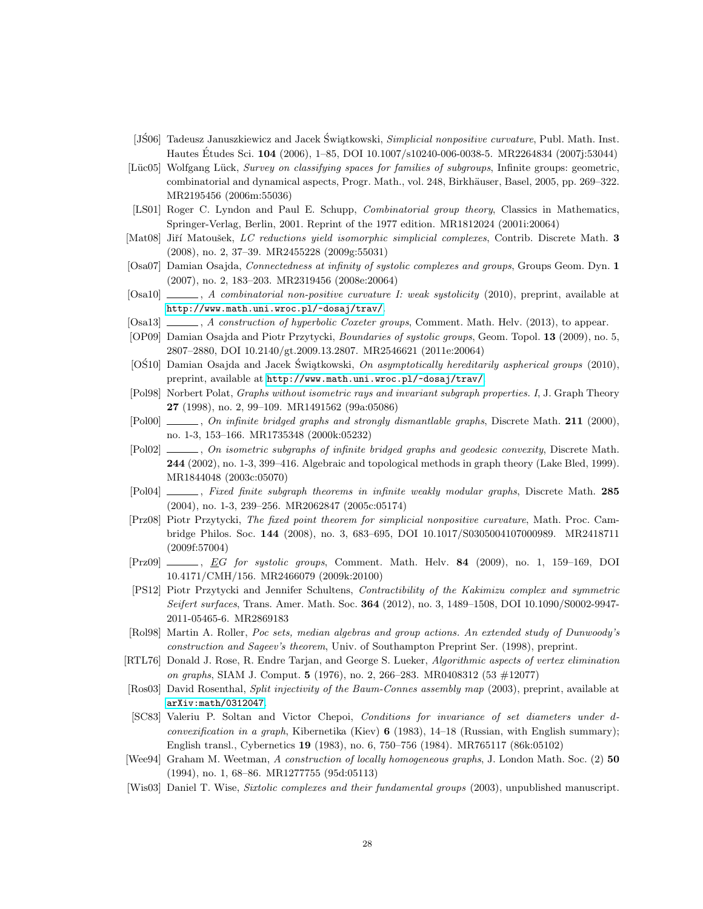- <span id="page-27-4"></span>[JS06] Tadeusz Januszkiewicz and Jacek Świątkowski, *Simplicial nonpositive curvature*, Publ. Math. Inst. Hautes Études Sci. **104** (2006), 1–85, DOI 10.1007/s10240-006-0038-5. MR2264834 (2007j:53044)
- <span id="page-27-14"></span>[Lüc05] Wolfgang Lück, Survey on classifying spaces for families of subgroups, Infinite groups: geometric, combinatorial and dynamical aspects, Progr. Math., vol. 248, Birkhäuser, Basel, 2005, pp. 269–322. MR2195456 (2006m:55036)
- <span id="page-27-17"></span>[LS01] Roger C. Lyndon and Paul E. Schupp, *Combinatorial group theory*, Classics in Mathematics, Springer-Verlag, Berlin, 2001. Reprint of the 1977 edition. MR1812024 (2001i:20064)
- <span id="page-27-15"></span>[Mat08] Jiří Matoušek, LC reductions yield isomorphic simplicial complexes, Contrib. Discrete Math. 3 (2008), no. 2, 37–39. MR2455228 (2009g:55031)
- <span id="page-27-5"></span>[Osa07] Damian Osajda, Connectedness at infinity of systolic complexes and groups, Groups Geom. Dyn. 1 (2007), no. 2, 183–203. MR2319456 (2008e:20064)
- <span id="page-27-9"></span>[Osa10]  $\qquad \qquad$ , A combinatorial non-positive curvature I: weak systolicity (2010), preprint, available at <http://www.math.uni.wroc.pl/~dosaj/trav/>.
- <span id="page-27-10"></span>[Osa13] , A construction of hyperbolic Coxeter groups, Comment. Math. Helv. (2013), to appear.
- <span id="page-27-6"></span>[OP09] Damian Osajda and Piotr Przytycki, Boundaries of systolic groups, Geom. Topol. 13 (2009), no. 5, 2807–2880, DOI 10.2140/gt.2009.13.2807. MR2546621 (2011e:20064)
- <span id="page-27-11"></span>[OS10] Damian Osajda and Jacek Swiątkowski, On asymptotically hereditarily aspherical groups (2010), preprint, available at <http://www.math.uni.wroc.pl/~dosaj/trav/>.
- <span id="page-27-19"></span>[Pol98] Norbert Polat, Graphs without isometric rays and invariant subgraph properties. I, J. Graph Theory 27 (1998), no. 2, 99–109. MR1491562 (99a:05086)
- <span id="page-27-3"></span>[Pol00]  $\_\_\_\_\_$ , On infinite bridged graphs and strongly dismantlable graphs, Discrete Math. 211 (2000). no. 1-3, 153–166. MR1735348 (2000k:05232)
- <span id="page-27-2"></span>[Pol02]  $\_\_\_\_\_$ , On isometric subgraphs of infinite bridged graphs and geodesic convexity, Discrete Math. 244 (2002), no. 1-3, 399–416. Algebraic and topological methods in graph theory (Lake Bled, 1999). MR1844048 (2003c:05070)
- <span id="page-27-20"></span>[Pol04]  $\_\_\_\_\$ rixed finite subgraph theorems in infinite weakly modular graphs, Discrete Math. 285 (2004), no. 1-3, 239–256. MR2062847 (2005c:05174)
- <span id="page-27-7"></span>[Prz08] Piotr Przytycki, The fixed point theorem for simplicial nonpositive curvature, Math. Proc. Cambridge Philos. Soc. 144 (2008), no. 3, 683–695, DOI 10.1017/S0305004107000989. MR2418711 (2009f:57004)
- <span id="page-27-8"></span> $[Prz09]$   $\_\_\_\_\_$ , *EG for systolic groups*, Comment. Math. Helv. **84** (2009), no. 1, 159–169, DOI 10.4171/CMH/156. MR2466079 (2009k:20100)
- <span id="page-27-13"></span>[PS12] Piotr Przytycki and Jennifer Schultens, Contractibility of the Kakimizu complex and symmetric Seifert surfaces, Trans. Amer. Math. Soc. 364 (2012), no. 3, 1489–1508, DOI 10.1090/S0002-9947- 2011-05465-6. MR2869183
- <span id="page-27-0"></span>[Rol98] Martin A. Roller, Poc sets, median algebras and group actions. An extended study of Dunwoody's construction and Sageev's theorem, Univ. of Southampton Preprint Ser. (1998), preprint.
- <span id="page-27-16"></span>[RTL76] Donald J. Rose, R. Endre Tarjan, and George S. Lueker, Algorithmic aspects of vertex elimination on graphs, SIAM J. Comput. 5 (1976), no. 2, 266–283. MR0408312 (53 #12077)
- <span id="page-27-21"></span>[Ros03] David Rosenthal, Split injectivity of the Baum-Connes assembly map (2003), preprint, available at [arXiv:math/0312047](arXiv: math/0312047).
- <span id="page-27-1"></span>[SC83] Valeriu P. Soltan and Victor Chepoi, Conditions for invariance of set diameters under dconvexification in a graph, Kibernetika (Kiev) 6 (1983), 14–18 (Russian, with English summary); English transl., Cybernetics 19 (1983), no. 6, 750–756 (1984). MR765117 (86k:05102)
- <span id="page-27-18"></span>[Wee94] Graham M. Weetman, A construction of locally homogeneous graphs, J. London Math. Soc. (2) 50 (1994), no. 1, 68–86. MR1277755 (95d:05113)
- <span id="page-27-12"></span>[Wis03] Daniel T. Wise, Sixtolic complexes and their fundamental groups (2003), unpublished manuscript.